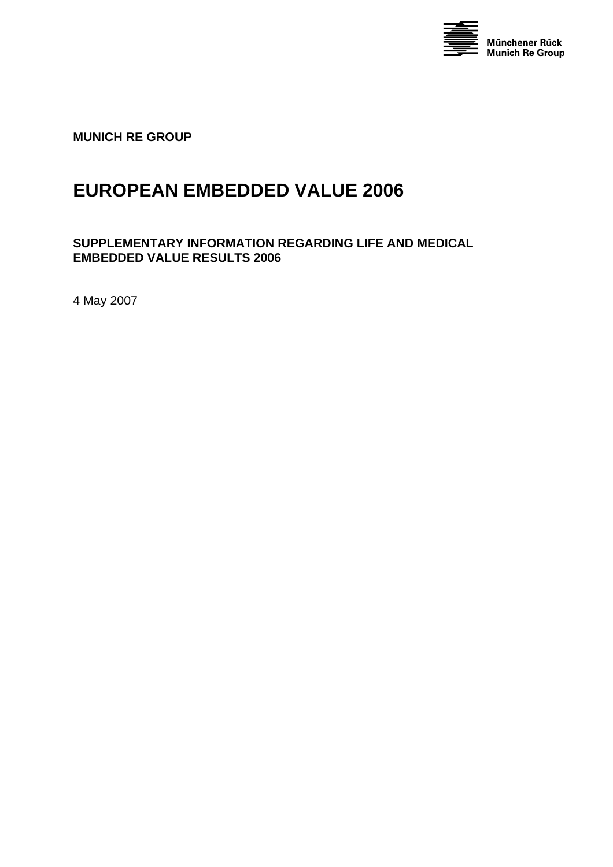

**MUNICH RE GROUP** 

# **EUROPEAN EMBEDDED VALUE 2006**

#### **SUPPLEMENTARY INFORMATION REGARDING LIFE AND MEDICAL EMBEDDED VALUE RESULTS 2006**

4 May 2007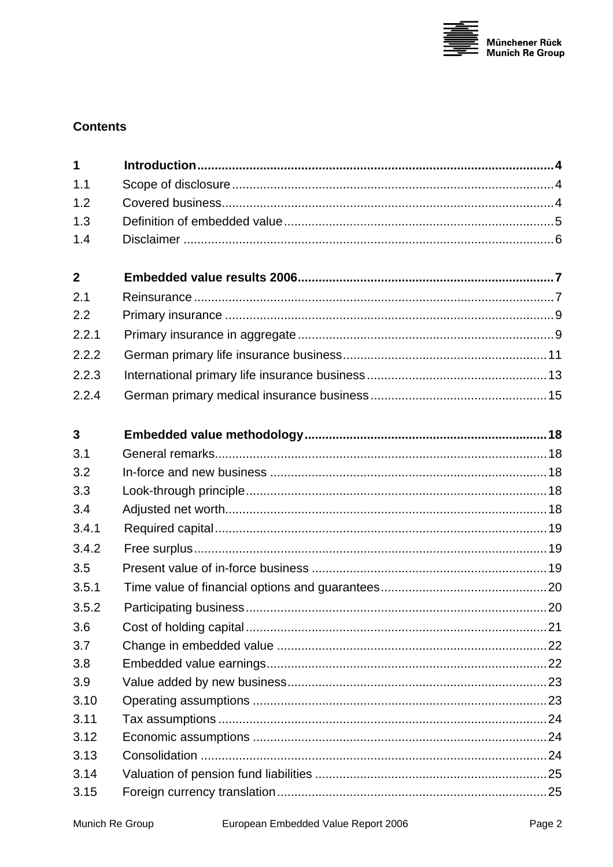

# **Contents**

| $\mathbf{1}$            |  |
|-------------------------|--|
| 1.1                     |  |
| 1.2                     |  |
| 1.3                     |  |
| 1.4                     |  |
| $\overline{2}$          |  |
| 2.1                     |  |
| 2.2                     |  |
| 2.2.1                   |  |
| 2.2.2                   |  |
| 2.2.3                   |  |
| 2.2.4                   |  |
| $\overline{\mathbf{3}}$ |  |
| 3.1                     |  |
| 3.2                     |  |
| 3.3                     |  |
| 3.4                     |  |
| 3.4.1                   |  |
| 3.4.2                   |  |
| 3.5                     |  |
| 3.5.1                   |  |
| 3.5.2                   |  |
| 3.6                     |  |
| 3.7                     |  |
| 3.8                     |  |
| 3.9                     |  |
| 3.10                    |  |
| 3.11                    |  |
| 3.12                    |  |
| 3.13                    |  |
| 3.14                    |  |
| 3.15                    |  |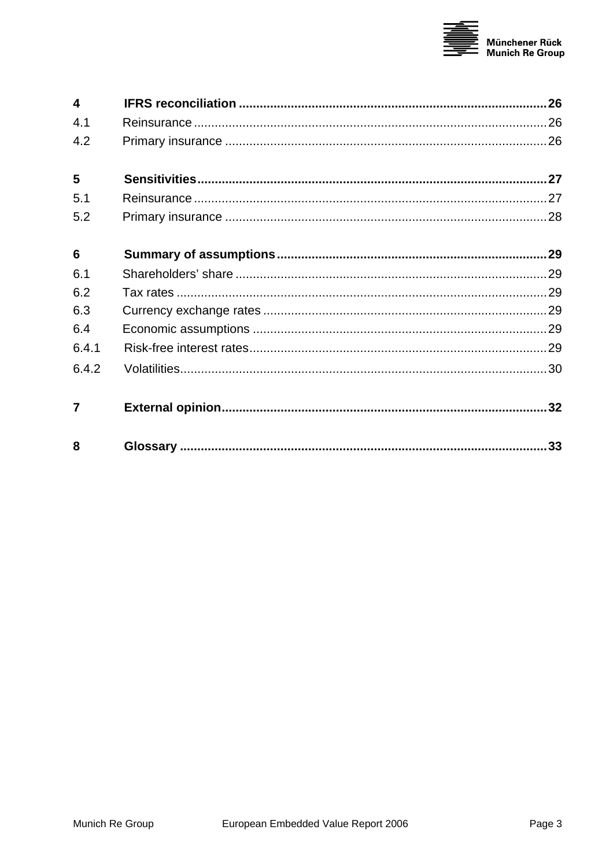

| $\overline{\mathbf{4}}$ |    |
|-------------------------|----|
| 4.1                     |    |
| 4.2                     |    |
| 5                       |    |
| 5.1                     |    |
| 5.2                     |    |
| 6                       |    |
| 6.1                     |    |
| 6.2                     |    |
| 6.3                     |    |
| 6.4                     |    |
| 6.4.1                   |    |
| 6.4.2                   |    |
| 7                       |    |
| 8                       | 33 |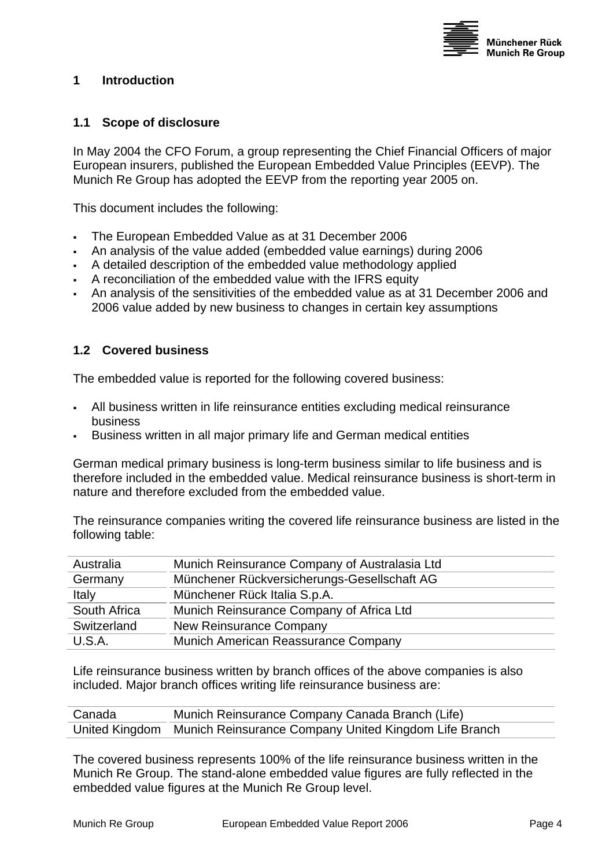

#### <span id="page-3-0"></span>**1 Introduction**

#### **1.1 Scope of disclosure**

In May 2004 the CFO Forum, a group representing the Chief Financial Officers of major European insurers, published the European Embedded Value Principles (EEVP). The Munich Re Group has adopted the EEVP from the reporting year 2005 on.

This document includes the following:

- The European Embedded Value as at 31 December 2006
- An analysis of the value added (embedded value earnings) during 2006
- A detailed description of the embedded value methodology applied
- A reconciliation of the embedded value with the IFRS equity
- An analysis of the sensitivities of the embedded value as at 31 December 2006 and 2006 value added by new business to changes in certain key assumptions

#### <span id="page-3-1"></span>**1.2 Covered business**

The embedded value is reported for the following covered business:

- All business written in life reinsurance entities excluding medical reinsurance business
- Business written in all major primary life and German medical entities

German medical primary business is long-term business similar to life business and is therefore included in the embedded value. Medical reinsurance business is short-term in nature and therefore excluded from the embedded value.

The reinsurance companies writing the covered life reinsurance business are listed in the following table:

| Australia    | Munich Reinsurance Company of Australasia Ltd |
|--------------|-----------------------------------------------|
| Germany      | Münchener Rückversicherungs-Gesellschaft AG   |
| Italy        | Münchener Rück Italia S.p.A.                  |
| South Africa | Munich Reinsurance Company of Africa Ltd      |
| Switzerland  | New Reinsurance Company                       |
| U.S.A.       | Munich American Reassurance Company           |

Life reinsurance business written by branch offices of the above companies is also included. Major branch offices writing life reinsurance business are:

| Canada | Munich Reinsurance Company Canada Branch (Life)                      |
|--------|----------------------------------------------------------------------|
|        | United Kingdom Munich Reinsurance Company United Kingdom Life Branch |

The covered business represents 100% of the life reinsurance business written in the Munich Re Group. The stand-alone embedded value figures are fully reflected in the embedded value figures at the Munich Re Group level.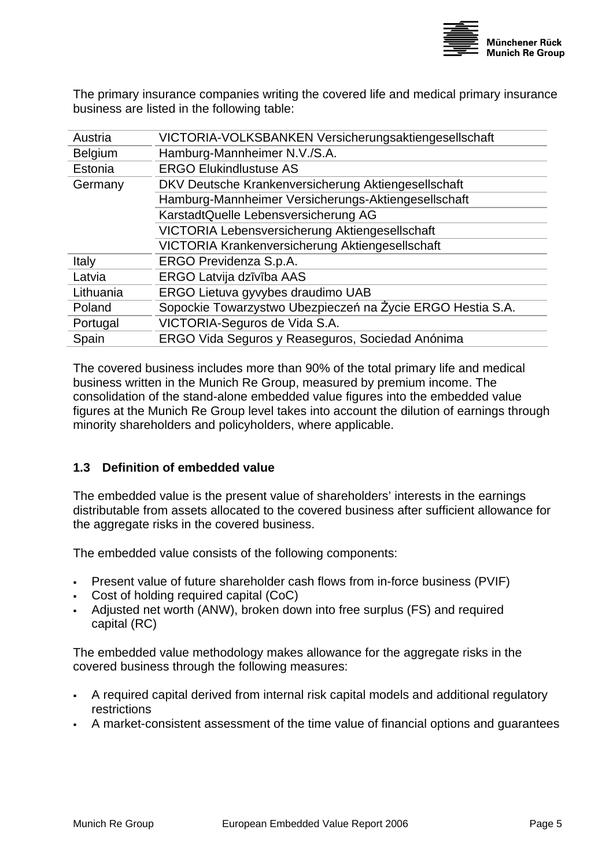

<span id="page-4-0"></span>The primary insurance companies writing the covered life and medical primary insurance business are listed in the following table:

| Austria        | VICTORIA-VOLKSBANKEN Versicherungsaktiengesellschaft       |
|----------------|------------------------------------------------------------|
| <b>Belgium</b> | Hamburg-Mannheimer N.V./S.A.                               |
| Estonia        | <b>ERGO Elukindlustuse AS</b>                              |
| Germany        | DKV Deutsche Krankenversicherung Aktiengesellschaft        |
|                | Hamburg-Mannheimer Versicherungs-Aktiengesellschaft        |
|                | KarstadtQuelle Lebensversicherung AG                       |
|                | VICTORIA Lebensversicherung Aktiengesellschaft             |
|                | VICTORIA Krankenversicherung Aktiengesellschaft            |
| Italy          | ERGO Previdenza S.p.A.                                     |
| Latvia         | ERGO Latvija dzīvība AAS                                   |
| Lithuania      | ERGO Lietuva gyvybes draudimo UAB                          |
| Poland         | Sopockie Towarzystwo Ubezpieczeń na Życie ERGO Hestia S.A. |
| Portugal       | VICTORIA-Seguros de Vida S.A.                              |
| Spain          | ERGO Vida Seguros y Reaseguros, Sociedad Anónima           |
|                |                                                            |

The covered business includes more than 90% of the total primary life and medical business written in the Munich Re Group, measured by premium income. The consolidation of the stand-alone embedded value figures into the embedded value figures at the Munich Re Group level takes into account the dilution of earnings through minority shareholders and policyholders, where applicable.

#### **1.3 Definition of embedded value**

The embedded value is the present value of shareholders' interests in the earnings distributable from assets allocated to the covered business after sufficient allowance for the aggregate risks in the covered business.

The embedded value consists of the following components:

- Present value of future shareholder cash flows from in-force business (PVIF)
- Cost of holding required capital (CoC)
- Adjusted net worth (ANW), broken down into free surplus (FS) and required capital (RC)

The embedded value methodology makes allowance for the aggregate risks in the covered business through the following measures:

- A required capital derived from internal risk capital models and additional regulatory restrictions
- A market-consistent assessment of the time value of financial options and guarantees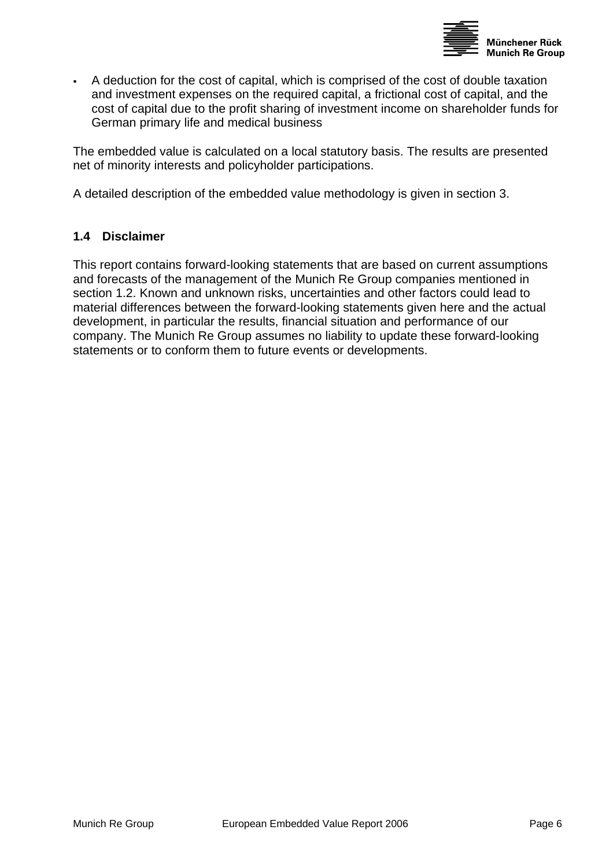

<span id="page-5-0"></span> A deduction for the cost of capital, which is comprised of the cost of double taxation and investment expenses on the required capital, a frictional cost of capital, and the cost of capital due to the profit sharing of investment income on shareholder funds for German primary life and medical business

The embedded value is calculated on a local statutory basis. The results are presented net of minority interests and policyholder participations.

A detailed description of the embedded value methodology is given in section [3.](#page-17-1)

#### **1.4 Disclaimer**

This report contains forward-looking statements that are based on current assumptions and forecasts of the management of the Munich Re Group companies mentioned in section [1.2.](#page-3-1) Known and unknown risks, uncertainties and other factors could lead to material differences between the forward-looking statements given here and the actual development, in particular the results, financial situation and performance of our company. The Munich Re Group assumes no liability to update these forward-looking statements or to conform them to future events or developments.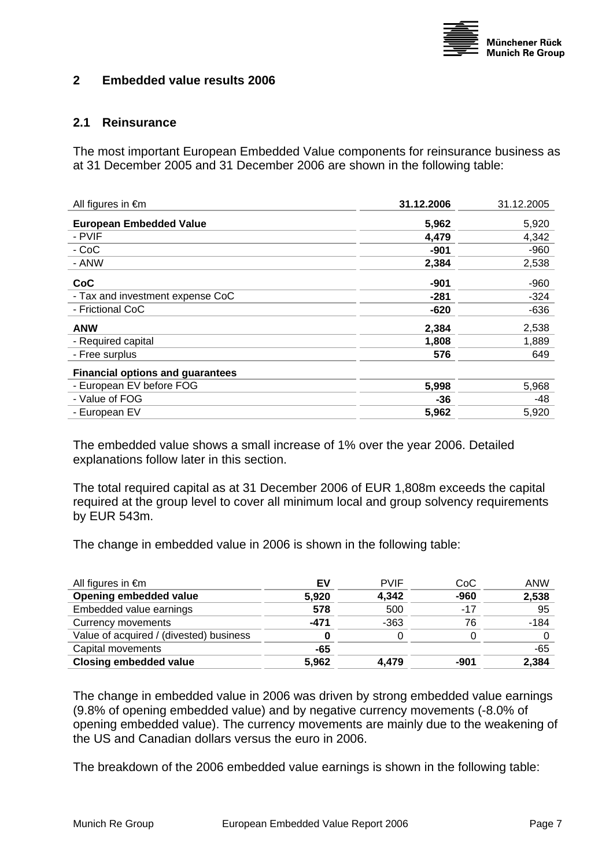

#### <span id="page-6-0"></span>**2 Embedded value results 2006**

#### **2.1 Reinsurance**

The most important European Embedded Value components for reinsurance business as at 31 December 2005 and 31 December 2006 are shown in the following table:

| All figures in €m                       | 31.12.2006 | 31.12.2005 |
|-----------------------------------------|------------|------------|
| <b>European Embedded Value</b>          | 5,962      | 5,920      |
| - PVIF                                  | 4,479      | 4,342      |
| - CoC                                   | -901       | $-960$     |
| - ANW                                   | 2,384      | 2,538      |
| CoC                                     | $-901$     | $-960$     |
| - Tax and investment expense CoC        | -281       | $-324$     |
| - Frictional CoC                        | $-620$     | $-636$     |
| <b>ANW</b>                              | 2,384      | 2,538      |
| - Required capital                      | 1,808      | 1,889      |
| - Free surplus                          | 576        | 649        |
| <b>Financial options and guarantees</b> |            |            |
| - European EV before FOG                | 5,998      | 5,968      |
| - Value of FOG                          | -36        | -48        |
| - European EV                           | 5,962      | 5,920      |

The embedded value shows a small increase of 1% over the year 2006. Detailed explanations follow later in this section.

The total required capital as at 31 December 2006 of EUR 1,808m exceeds the capital required at the group level to cover all minimum local and group solvency requirements by EUR 543m.

The change in embedded value in 2006 is shown in the following table:

| All figures in $\epsilon$ m             | EV    | <b>PVIF</b> | CoC    | ANW    |
|-----------------------------------------|-------|-------------|--------|--------|
| Opening embedded value                  | 5,920 | 4,342       | $-960$ | 2,538  |
| Embedded value earnings                 | 578   | 500         | $-17$  | -95    |
| Currency movements                      | -471  | $-363$      | 76     | $-184$ |
| Value of acquired / (divested) business |       |             |        |        |
| Capital movements                       | -65   |             |        | $-65$  |
| <b>Closing embedded value</b>           | 5,962 | 4.479       | -901   | 2,384  |
|                                         |       |             |        |        |

The change in embedded value in 2006 was driven by strong embedded value earnings (9.8% of opening embedded value) and by negative currency movements (-8.0% of opening embedded value). The currency movements are mainly due to the weakening of the US and Canadian dollars versus the euro in 2006.

The breakdown of the 2006 embedded value earnings is shown in the following table: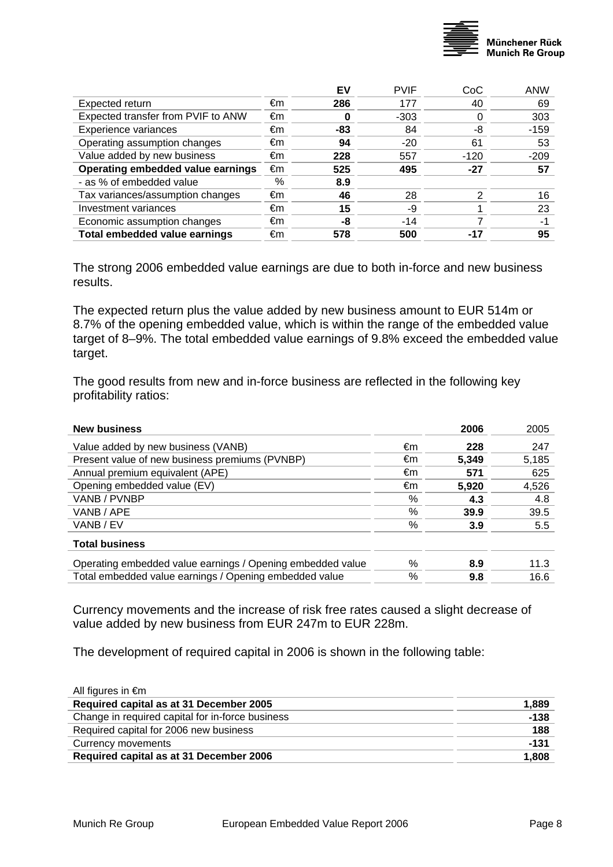

|    | EV  |        | CoC    | <b>ANW</b>  |
|----|-----|--------|--------|-------------|
| €m | 286 | 177    | 40     | 69          |
| €m | 0   | $-303$ |        | 303         |
| €m | -83 | 84     | -8     | $-159$      |
| €m | 94  | $-20$  | 61     | 53          |
| €m | 228 | 557    | $-120$ | $-209$      |
| €m | 525 | 495    | -27    | 57          |
| %  | 8.9 |        |        |             |
| €m | 46  | 28     | っ      | 16          |
| €m | 15  | -9     |        | 23          |
| €m | -8  | $-14$  |        | -1          |
| €m | 578 | 500    | -17    | 95          |
|    |     |        |        | <b>PVIF</b> |

The strong 2006 embedded value earnings are due to both in-force and new business results.

The expected return plus the value added by new business amount to EUR 514m or 8.7% of the opening embedded value, which is within the range of the embedded value target of 8–9%. The total embedded value earnings of 9.8% exceed the embedded value target.

The good results from new and in-force business are reflected in the following key profitability ratios:

| <b>New business</b>                                        |    | 2006  | 2005  |
|------------------------------------------------------------|----|-------|-------|
| Value added by new business (VANB)                         | €m | 228   | 247   |
| Present value of new business premiums (PVNBP)             | €m | 5.349 | 5,185 |
| Annual premium equivalent (APE)                            | €m | 571   | 625   |
| Opening embedded value (EV)                                | €m | 5,920 | 4,526 |
| VANB / PVNBP                                               | %  | 4.3   | 4.8   |
| VANB / APE                                                 | %  | 39.9  | 39.5  |
| VANB / EV                                                  | %  | 3.9   | 5.5   |
| <b>Total business</b>                                      |    |       |       |
| Operating embedded value earnings / Opening embedded value | %  | 8.9   | 11.3  |
| Total embedded value earnings / Opening embedded value     | %  | 9.8   | 16.6  |

Currency movements and the increase of risk free rates caused a slight decrease of value added by new business from EUR 247m to EUR 228m.

The development of required capital in 2006 is shown in the following table:

| All figures in $\epsilon$ m                      |        |
|--------------------------------------------------|--------|
| Required capital as at 31 December 2005          | 1,889  |
| Change in required capital for in-force business | $-138$ |
| Required capital for 2006 new business           | 188    |
| Currency movements                               | $-131$ |
| Required capital as at 31 December 2006          | 1,808  |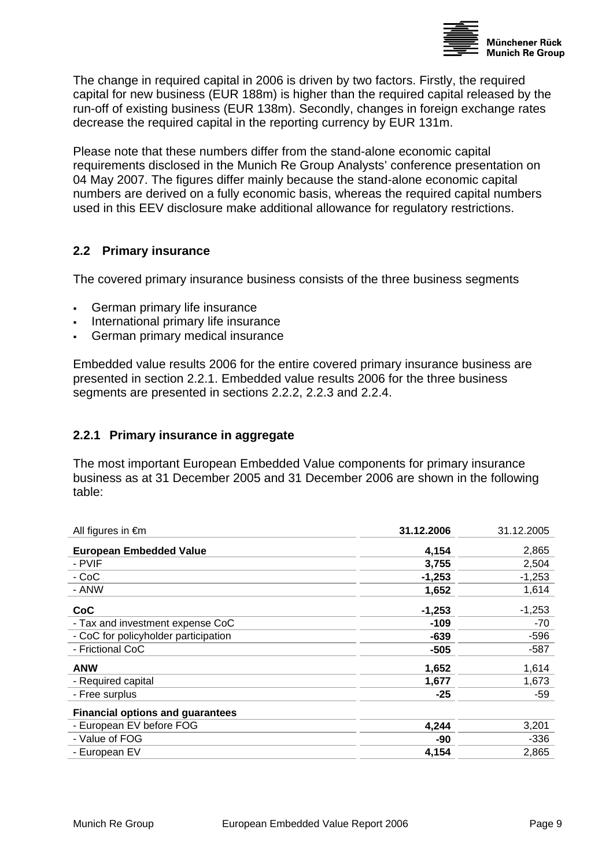

<span id="page-8-0"></span>The change in required capital in 2006 is driven by two factors. Firstly, the required capital for new business (EUR 188m) is higher than the required capital released by the run-off of existing business (EUR 138m). Secondly, changes in foreign exchange rates decrease the required capital in the reporting currency by EUR 131m.

Please note that these numbers differ from the stand-alone economic capital requirements disclosed in the Munich Re Group Analysts' conference presentation on 04 May 2007. The figures differ mainly because the stand-alone economic capital numbers are derived on a fully economic basis, whereas the required capital numbers used in this EEV disclosure make additional allowance for regulatory restrictions.

#### **2.2 Primary insurance**

The covered primary insurance business consists of the three business segments

- German primary life insurance
- International primary life insurance
- German primary medical insurance

Embedded value results 2006 for the entire covered primary insurance business are presented in section 2.2.1. Embedded value results 2006 for the three business segments are presented in sections 2.2.2, 2.2.3 and 2.2.4.

#### **2.2.1 Primary insurance in aggregate**

The most important European Embedded Value components for primary insurance business as at 31 December 2005 and 31 December 2006 are shown in the following table:

| All figures in €m                       | 31.12.2006 | 31.12.2005 |
|-----------------------------------------|------------|------------|
| <b>European Embedded Value</b>          | 4,154      | 2,865      |
| - PVIF                                  | 3,755      | 2,504      |
| - CoC                                   | $-1,253$   | $-1,253$   |
| - ANW                                   | 1,652      | 1,614      |
| CoC                                     | $-1,253$   | $-1,253$   |
| - Tax and investment expense CoC        | $-109$     | -70        |
| - CoC for policyholder participation    | $-639$     | $-596$     |
| - Frictional CoC                        | -505       | -587       |
| <b>ANW</b>                              | 1,652      | 1,614      |
| - Required capital                      | 1,677      | 1,673      |
| - Free surplus                          | -25        | -59        |
| <b>Financial options and guarantees</b> |            |            |
| - European EV before FOG                | 4,244      | 3,201      |
| - Value of FOG                          | -90        | $-336$     |
| - European EV                           | 4,154      | 2,865      |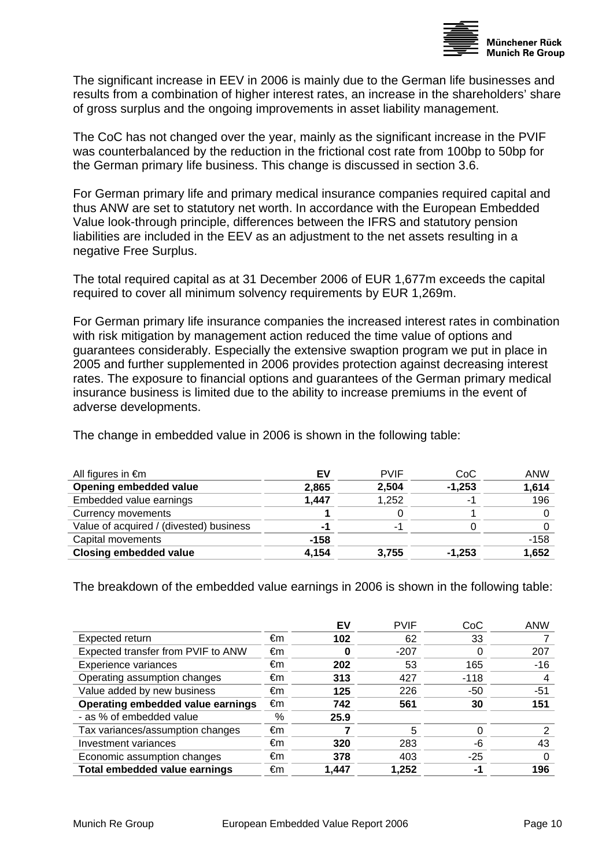

The significant increase in EEV in 2006 is mainly due to the German life businesses and results from a combination of higher interest rates, an increase in the shareholders' share of gross surplus and the ongoing improvements in asset liability management.

The CoC has not changed over the year, mainly as the significant increase in the PVIF was counterbalanced by the reduction in the frictional cost rate from 100bp to 50bp for the German primary life business. This change is discussed in section 3.6.

For German primary life and primary medical insurance companies required capital and thus ANW are set to statutory net worth. [In](http://dict.leo.org/ende?lp=ende&p=/gQPU.&search=in) [accordance](http://dict.leo.org/ende?lp=ende&p=/gQPU.&search=accordance) [with](http://dict.leo.org/ende?lp=ende&p=/gQPU.&search=with) the European Embedded Value look-through principle, differences between the IFRS and statutory pension liabilities are included in the EEV as an adjustment to the net assets resulting in a negative Free Surplus.

The total required capital as at 31 December 2006 of EUR 1,677m exceeds the capital required to cover all minimum solvency requirements by EUR 1,269m.

For German primary life insurance companies the increased interest rates in combination with risk mitigation by management action reduced the time value of options and guarantees considerably. Especially the extensive swaption program we put in place in 2005 and further supplemented in 2006 provides protection against decreasing interest rates. The exposure to financial options and guarantees of the German primary medical insurance business is limited due to the ability to increase premiums in the event of adverse developments.

The change in embedded value in 2006 is shown in the following table:

| EV     | <b>PVIF</b> | CoC      | ANW    |
|--------|-------------|----------|--------|
| 2,865  | 2,504       | $-1,253$ | 1,614  |
| 1,447  | 1,252       | ۰        | 196    |
|        |             |          |        |
|        | -1          |          |        |
| $-158$ |             |          | $-158$ |
| 4,154  | 3,755       | $-1,253$ | 1,652  |
|        |             |          |        |

The breakdown of the embedded value earnings in 2006 is shown in the following table:

|                                      |    | EV    | <b>PVIF</b> | CoC    | <b>ANW</b> |
|--------------------------------------|----|-------|-------------|--------|------------|
| Expected return                      | €m | 102   | 62          | 33     |            |
| Expected transfer from PVIF to ANW   | €m | 0     | $-207$      |        | 207        |
| Experience variances                 | €m | 202   | 53          | 165    | $-16$      |
| Operating assumption changes         | €m | 313   | 427         | $-118$ | 4          |
| Value added by new business          | €m | 125   | 226         | -50    | -51        |
| Operating embedded value earnings    | €m | 742   | 561         | 30     | 151        |
| - as % of embedded value             | %  | 25.9  |             |        |            |
| Tax variances/assumption changes     | €m |       | 5           |        |            |
| Investment variances                 | €m | 320   | 283         | -6     | 43         |
| Economic assumption changes          | €m | 378   | 403         | $-25$  |            |
| <b>Total embedded value earnings</b> | €m | 1,447 | 1,252       | -1     | 196        |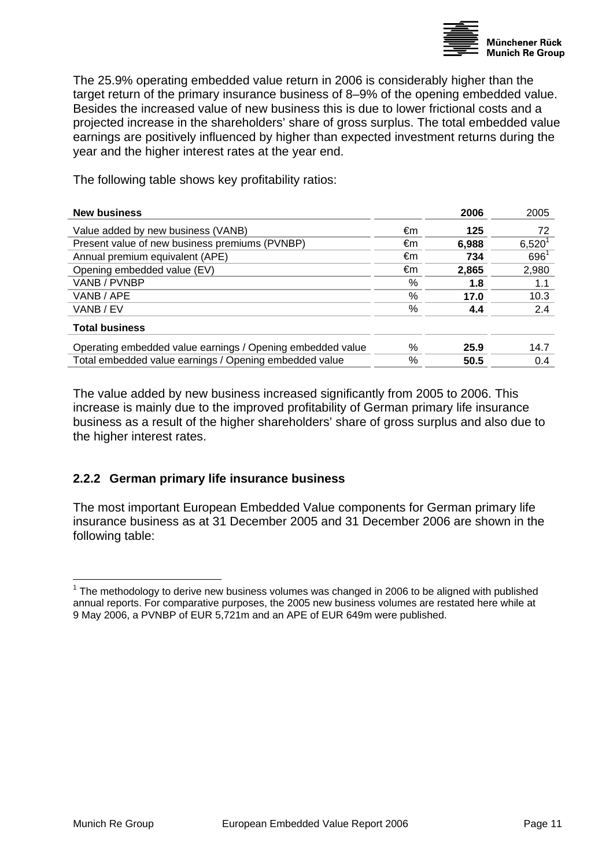

<span id="page-10-0"></span>The 25.9% operating embedded value return in 2006 is considerably higher than the target return of the primary insurance business of 8–9% of the opening embedded value. Besides the increased value of new business this is due to lower frictional costs and a projected increase in the shareholders' share of gross surplus. The total embedded value earnings are positively influenced by higher than expected investment returns during the year and the higher interest rates at the year end.

The following table shows key profitability ratios:

| <b>New business</b>                                        |      | 2006  | 2005        |
|------------------------------------------------------------|------|-------|-------------|
| Value added by new business (VANB)                         | €m   | 125   | 72          |
| Present value of new business premiums (PVNBP)             | €m   | 6,988 | $6,520^{1}$ |
| Annual premium equivalent (APE)                            | €m   | 734   | $696^1$     |
| Opening embedded value (EV)                                | €m   | 2,865 | 2,980       |
| VANB / PVNBP                                               | %    | 1.8   | 1.1         |
| VANB / APE                                                 | $\%$ | 17.0  | 10.3        |
| VANB / EV                                                  | $\%$ | 4.4   | 2.4         |
| <b>Total business</b>                                      |      |       |             |
| Operating embedded value earnings / Opening embedded value | ℅    | 25.9  | 14.7        |
| Total embedded value earnings / Opening embedded value     | %    | 50.5  | 0.4         |

The value added by new business increased significantly from 2005 to 2006. This increase is mainly due to the improved profitability of German primary life insurance business as a result of the higher shareholders' share of gross surplus and also due to the higher interest rates.

#### **2.2.2 German primary life insurance business**

The most important European Embedded Value components for German primary life insurance business as at 31 December 2005 and 31 December 2006 are shown in the following table:

<span id="page-10-1"></span>The methodology to derive new business volumes was changed in 2006 to be aligned with published annual reports. For comparative purposes, the 2005 new business volumes are restated here while at 9 May 2006, a PVNBP of EUR 5,721m and an APE of EUR 649m were published.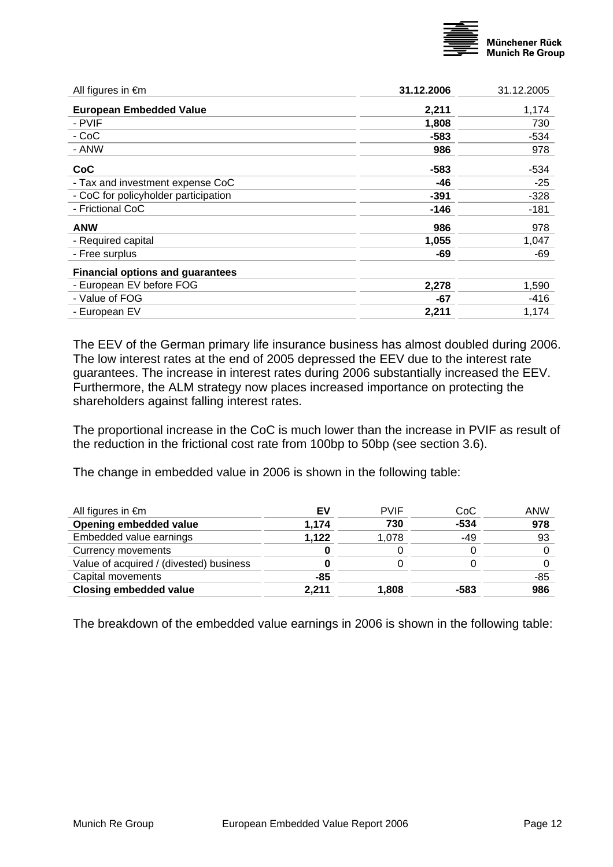

| <b>European Embedded Value</b><br>2,211<br>1,174<br>- PVIF<br>730<br>1,808<br>- CoC<br>$-534$<br>-583<br>- ANW<br>986<br>978<br>CoC<br>-583<br>-534<br>- Tax and investment expense CoC<br>-46<br>-25<br>- CoC for policyholder participation<br>$-328$<br>-391<br>- Frictional CoC<br>-146<br>-181<br><b>ANW</b><br>986<br>978<br>- Required capital<br>1,055<br>1,047<br>- Free surplus<br>-69<br>-69<br><b>Financial options and guarantees</b><br>- European EV before FOG<br>2,278<br>1,590<br>- Value of FOG<br>$-416$<br>-67<br>- European EV<br>2,211<br>1,174 | All figures in $\epsilon$ m | 31.12.2006 | 31.12.2005 |
|------------------------------------------------------------------------------------------------------------------------------------------------------------------------------------------------------------------------------------------------------------------------------------------------------------------------------------------------------------------------------------------------------------------------------------------------------------------------------------------------------------------------------------------------------------------------|-----------------------------|------------|------------|
|                                                                                                                                                                                                                                                                                                                                                                                                                                                                                                                                                                        |                             |            |            |
|                                                                                                                                                                                                                                                                                                                                                                                                                                                                                                                                                                        |                             |            |            |
|                                                                                                                                                                                                                                                                                                                                                                                                                                                                                                                                                                        |                             |            |            |
|                                                                                                                                                                                                                                                                                                                                                                                                                                                                                                                                                                        |                             |            |            |
|                                                                                                                                                                                                                                                                                                                                                                                                                                                                                                                                                                        |                             |            |            |
|                                                                                                                                                                                                                                                                                                                                                                                                                                                                                                                                                                        |                             |            |            |
|                                                                                                                                                                                                                                                                                                                                                                                                                                                                                                                                                                        |                             |            |            |
|                                                                                                                                                                                                                                                                                                                                                                                                                                                                                                                                                                        |                             |            |            |
|                                                                                                                                                                                                                                                                                                                                                                                                                                                                                                                                                                        |                             |            |            |
|                                                                                                                                                                                                                                                                                                                                                                                                                                                                                                                                                                        |                             |            |            |
|                                                                                                                                                                                                                                                                                                                                                                                                                                                                                                                                                                        |                             |            |            |
|                                                                                                                                                                                                                                                                                                                                                                                                                                                                                                                                                                        |                             |            |            |
|                                                                                                                                                                                                                                                                                                                                                                                                                                                                                                                                                                        |                             |            |            |
|                                                                                                                                                                                                                                                                                                                                                                                                                                                                                                                                                                        |                             |            |            |
|                                                                                                                                                                                                                                                                                                                                                                                                                                                                                                                                                                        |                             |            |            |

The EEV of the German primary life insurance business has almost doubled during 2006. The low interest rates at the end of 2005 depressed the EEV due to the interest rate guarantees. The increase in interest rates during 2006 substantially increased the EEV. Furthermore, the ALM strategy now places increased importance on protecting the shareholders against falling interest rates.

The proportional increase in the CoC is much lower than the increase in PVIF as result of the reduction in the frictional cost rate from 100bp to 50bp (see section 3.6).

The change in embedded value in 2006 is shown in the following table:

| All figures in $\epsilon$ m             | EV    | <b>PVIF</b> | CoC    | ANW   |
|-----------------------------------------|-------|-------------|--------|-------|
| Opening embedded value                  | 1,174 | 730         | $-534$ | 978   |
| Embedded value earnings                 | 1,122 | 1,078       | $-49$  | 93    |
| Currency movements                      |       |             |        |       |
| Value of acquired / (divested) business |       |             |        |       |
| Capital movements                       | $-85$ |             |        | $-85$ |
| <b>Closing embedded value</b>           | 2,211 | 1,808       | -583   | 986   |
|                                         |       |             |        |       |

The breakdown of the embedded value earnings in 2006 is shown in the following table: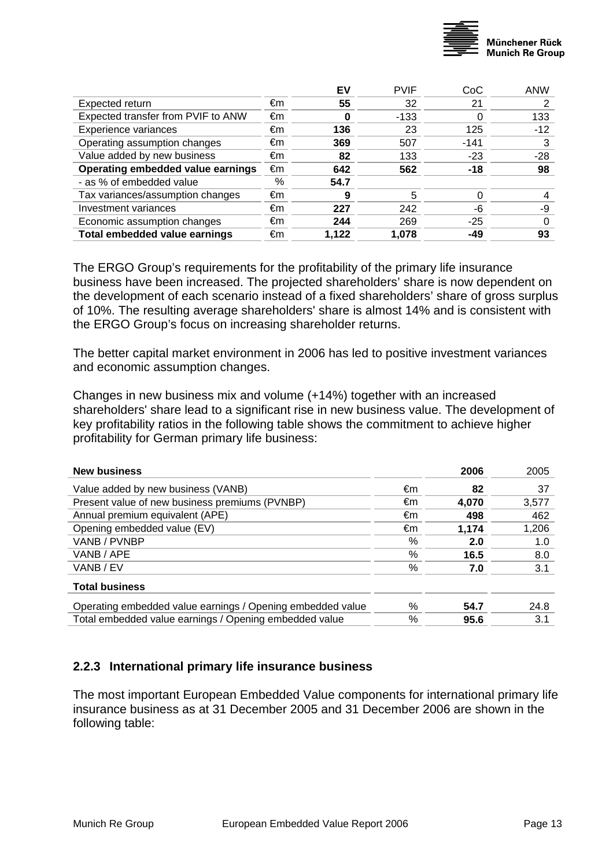

<span id="page-12-0"></span>

|                                    |    | EV    | <b>PVIF</b> | CoC    | <b>ANW</b> |
|------------------------------------|----|-------|-------------|--------|------------|
| Expected return                    | €m | 55    | 32          | 21     |            |
| Expected transfer from PVIF to ANW | €m | 0     | $-133$      |        | 133        |
| Experience variances               | €m | 136   | 23          | 125    | $-12$      |
| Operating assumption changes       | €m | 369   | 507         | $-141$ | 3          |
| Value added by new business        | €m | 82    | 133         | $-23$  | $-28$      |
| Operating embedded value earnings  | €m | 642   | 562         | $-18$  | 98         |
| - as % of embedded value           | %  | 54.7  |             |        |            |
| Tax variances/assumption changes   | €m | 9     | 5           |        |            |
| Investment variances               | €m | 227   | 242         | -6     | -9         |
| Economic assumption changes        | €m | 244   | 269         | $-25$  |            |
| Total embedded value earnings      | €m | 1,122 | 1,078       | -49    | 93         |

The ERGO Group's requirements for the profitability of the primary life insurance business have been increased. The projected shareholders' share is now dependent on the development of each scenario instead of a fixed shareholders' share of gross surplus of 10%. The resulting average [shareholders](http://dict.leo.org/ende?lp=ende&p=/gQPU.&search=shareholders)' share is almost 14% and is consistent with the ERGO Group's focus on increasing shareholder returns.

The better capital market environment in 2006 has led to positive investment variances and economic assumption changes.

Changes in new business mix and volume (+14%) together with an increased [shareholders](http://dict.leo.org/ende?lp=ende&p=/gQPU.&search=shareholders)' share lead to a significant rise in new business value. The development of key profitability ratios in the following table shows the commitment to achieve higher profitability for German primary life business:

| <b>New business</b>                                        |    | 2006  | 2005  |
|------------------------------------------------------------|----|-------|-------|
| Value added by new business (VANB)                         | €m | 82    | 37    |
| Present value of new business premiums (PVNBP)             | €m | 4.070 | 3.577 |
| Annual premium equivalent (APE)                            | €m | 498   | 462   |
| Opening embedded value (EV)                                | €m | 1.174 | 1,206 |
| VANB / PVNBP                                               | %  | 2.0   | 1.0   |
| VANB / APE                                                 | %  | 16.5  | 8.0   |
| VANB / EV                                                  | %  | 7.0   | 3.1   |
| <b>Total business</b>                                      |    |       |       |
| Operating embedded value earnings / Opening embedded value | ℅  | 54.7  | 24.8  |
| Total embedded value earnings / Opening embedded value     | %  | 95.6  | 3.1   |

#### **2.2.3 International primary life insurance business**

The most important European Embedded Value components for international primary life insurance business as at 31 December 2005 and 31 December 2006 are shown in the following table: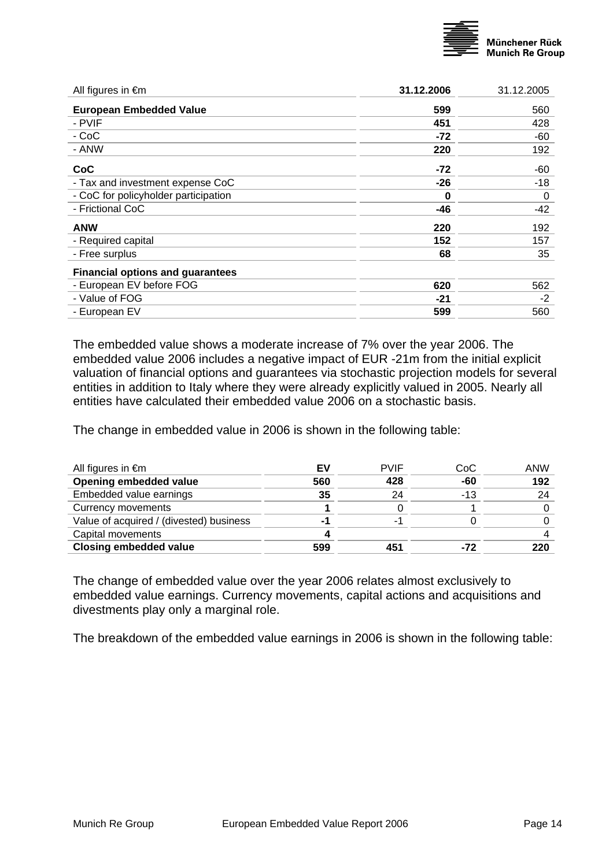

| All figures in $\epsilon$ m             | 31.12.2006 | 31.12.2005 |
|-----------------------------------------|------------|------------|
| <b>European Embedded Value</b>          | 599        | 560        |
| - PVIF                                  | 451        | 428        |
| - CoC                                   | $-72$      | -60        |
| - ANW                                   | 220        | 192        |
| <b>CoC</b>                              | $-72$      | -60        |
| - Tax and investment expense CoC        | -26        | -18        |
| - CoC for policyholder participation    | 0          | 0          |
| - Frictional CoC                        | -46        | -42        |
| <b>ANW</b>                              | 220        | 192        |
| - Required capital                      | 152        | 157        |
| - Free surplus                          | 68         | 35         |
| <b>Financial options and guarantees</b> |            |            |
| - European EV before FOG                | 620        | 562        |
| - Value of FOG                          | -21        | $-2$       |
| - European EV                           | 599        | 560        |
|                                         |            |            |

The embedded value shows a moderate increase of 7% over the year 2006. The embedded value 2006 includes a negative impact of EUR -21m from the initial explicit valuation of financial options and guarantees via stochastic projection models for several entities in addition to Italy where they were already explicitly valued in 2005. Nearly all entities have calculated their embedded value 2006 on a stochastic basis.

The change in embedded value in 2006 is shown in the following table:

| All figures in $\epsilon$ m             | EV  | <b>PVIF</b> | CoC   | ANW |
|-----------------------------------------|-----|-------------|-------|-----|
| Opening embedded value                  | 560 | 428         | -60   | 192 |
| Embedded value earnings                 | 35  | 24          | $-13$ | 24  |
| Currency movements                      |     |             |       |     |
| Value of acquired / (divested) business | - 1 |             |       |     |
| Capital movements                       |     |             |       |     |
| <b>Closing embedded value</b>           | 599 | 451         | -72   | 220 |
|                                         |     |             |       |     |

The change of embedded value over the year 2006 relates almost exclusively to embedded value earnings. Currency movements, capital actions and acquisitions and divestments play only a marginal role.

The breakdown of the embedded value earnings in 2006 is shown in the following table: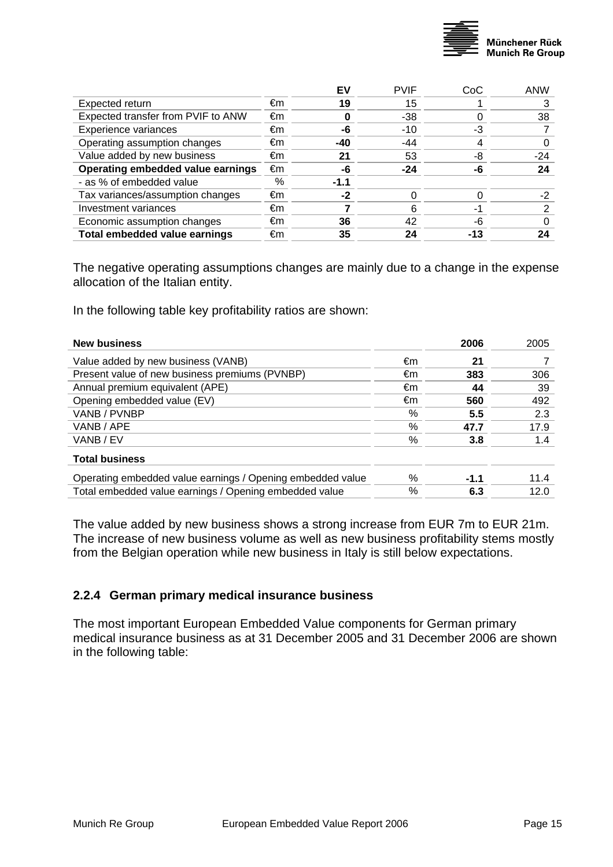

<span id="page-14-0"></span>

| E٧     | <b>PVIF</b> | CoC | ANW   |
|--------|-------------|-----|-------|
| 19     | 15          |     |       |
|        | $-38$       |     | 38    |
| -6     | $-10$       | -3  |       |
| -40    | $-44$       |     |       |
| 21     | 53          | -8  | $-24$ |
| -6     | $-24$       | -6  | 24    |
| $-1.1$ |             |     |       |
| -2     |             |     | -2    |
|        | 6           | -1  |       |
| 36     | 42          | -6  |       |
| 35     | 24          | -13 |       |
|        |             |     |       |

The negative operating assumptions changes are mainly due to a change in the expense allocation of the Italian entity.

In the following table key profitability ratios are shown:

| <b>New business</b>                                        |    | 2006   | 2005 |
|------------------------------------------------------------|----|--------|------|
| Value added by new business (VANB)                         | €m | 21     |      |
| Present value of new business premiums (PVNBP)             | €m | 383    | 306  |
| Annual premium equivalent (APE)                            | €m | 44     | 39   |
| Opening embedded value (EV)                                | €m | 560    | 492  |
| VANB / PVNBP                                               | %  | 5.5    | 2.3  |
| VANB / APE                                                 | %  | 47.7   | 17.9 |
| VANB / EV                                                  | %  | 3.8    | 1.4  |
| <b>Total business</b>                                      |    |        |      |
| Operating embedded value earnings / Opening embedded value | ℅  | $-1.1$ | 11.4 |
| Total embedded value earnings / Opening embedded value     | ℅  | 6.3    | 12.0 |
|                                                            |    |        |      |

The value added by new business shows a strong increase from EUR 7m to EUR 21m. The increase of new business volume as well as new business profitability stems mostly from the Belgian operation while new business in Italy is still below expectations.

#### **2.2.4 German primary medical insurance business**

The most important European Embedded Value components for German primary medical insurance business as at 31 December 2005 and 31 December 2006 are shown in the following table: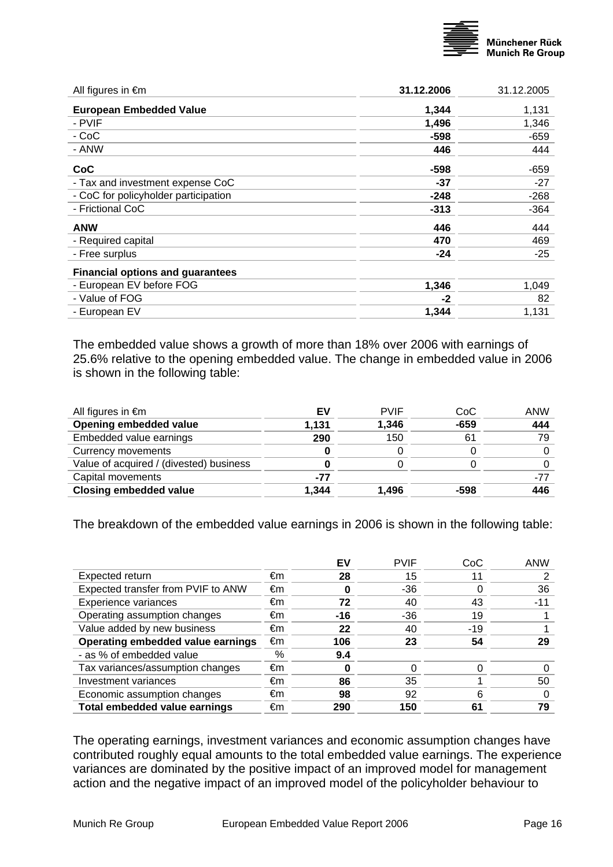

| All figures in $\epsilon$ m             | 31.12.2006 | 31.12.2005 |
|-----------------------------------------|------------|------------|
| <b>European Embedded Value</b>          | 1,344      | 1,131      |
| - PVIF                                  | 1,496      | 1,346      |
| - CoC                                   | $-598$     | $-659$     |
| - ANW                                   | 446        | 444        |
| <b>CoC</b>                              | -598       | -659       |
| - Tax and investment expense CoC        | $-37$      | $-27$      |
| - CoC for policyholder participation    | $-248$     | $-268$     |
| - Frictional CoC                        | $-313$     | -364       |
| <b>ANW</b>                              | 446        | 444        |
| - Required capital                      | 470        | 469        |
| - Free surplus                          | $-24$      | $-25$      |
| <b>Financial options and guarantees</b> |            |            |
| - European EV before FOG                | 1,346      | 1,049      |
| - Value of FOG                          | $-2$       | 82         |
| - European EV                           | 1,344      | 1,131      |
|                                         |            |            |

The embedded value shows a growth of more than 18% over 2006 with earnings of 25.6% relative to the opening embedded value. The change in embedded value in 2006 is shown in the following table:

| All figures in $\epsilon$ m             | EV    | <b>PVIF</b> | CoC    | ANW |
|-----------------------------------------|-------|-------------|--------|-----|
| Opening embedded value                  | 1,131 | 1,346       | $-659$ | 444 |
| Embedded value earnings                 | 290   | 150         | 61     | 79  |
| Currency movements                      |       |             |        |     |
| Value of acquired / (divested) business |       |             |        |     |
| Capital movements                       | -77   |             |        | -77 |
| <b>Closing embedded value</b>           | 1.344 | 1.496       | -598   | 446 |
|                                         |       |             |        |     |

The breakdown of the embedded value earnings in 2006 is shown in the following table:

|                                      |    | EV    | <b>PVIF</b> | CoC   | ANW |
|--------------------------------------|----|-------|-------------|-------|-----|
| Expected return                      | €m | 28    | 15          | 11    |     |
| Expected transfer from PVIF to ANW   | €m | U     | -36         |       | 36  |
| Experience variances                 | €m | 72    | 40          | 43    | -11 |
| Operating assumption changes         | €m | $-16$ | $-36$       | 19    |     |
| Value added by new business          | €m | 22    | 40          | $-19$ |     |
| Operating embedded value earnings    | €m | 106   | 23          | 54    |     |
| - as % of embedded value             | %  | 9.4   |             |       |     |
| Tax variances/assumption changes     | €m | 0     |             |       |     |
| Investment variances                 | €m | 86    | 35          |       | 50  |
| Economic assumption changes          | €m | 98    | 92          |       |     |
| <b>Total embedded value earnings</b> | €m | 290   | 150         | 61    | 79  |

The operating earnings, investment variances and economic assumption changes have contributed roughly equal amounts to the total embedded value earnings. The experience variances are dominated by the positive impact of an improved model for management action and the negative impact of an improved model of the policyholder behaviour to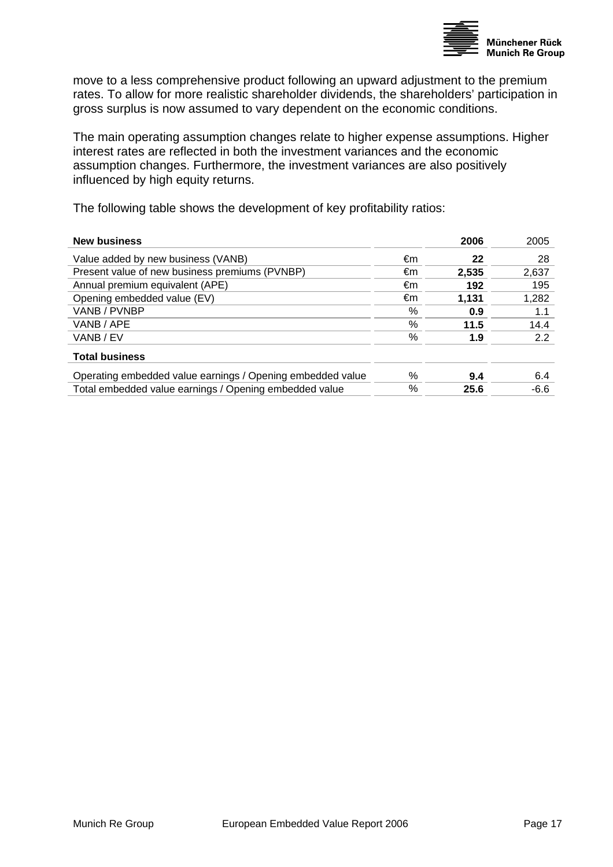

move to a less comprehensive product following an upward adjustment to the premium rates. To allow for more realistic shareholder dividends, the shareholders' participation in gross surplus is now assumed to vary dependent on the economic conditions.

The main operating assumption changes relate to higher expense assumptions. Higher interest rates are reflected in both the investment variances and the economic assumption changes. Furthermore, the investment variances are also positively influenced by high equity returns.

The following table shows the development of key profitability ratios:

| <b>New business</b>                                        |      | 2006  | 2005   |
|------------------------------------------------------------|------|-------|--------|
| Value added by new business (VANB)                         | €m   | 22    | 28     |
| Present value of new business premiums (PVNBP)             | €m   | 2.535 | 2,637  |
| Annual premium equivalent (APE)                            | €m   | 192   | 195    |
| Opening embedded value (EV)                                | €m   | 1.131 | 1,282  |
| VANB / PVNBP                                               | %    | 0.9   | 1.1    |
| VANB / APE                                                 | %    | 11.5  | 14.4   |
| VANB / EV                                                  | %    | 1.9   | 2.2    |
| <b>Total business</b>                                      |      |       |        |
| Operating embedded value earnings / Opening embedded value | $\%$ | 9.4   | 6.4    |
| Total embedded value earnings / Opening embedded value     | %    | 25.6  | $-6.6$ |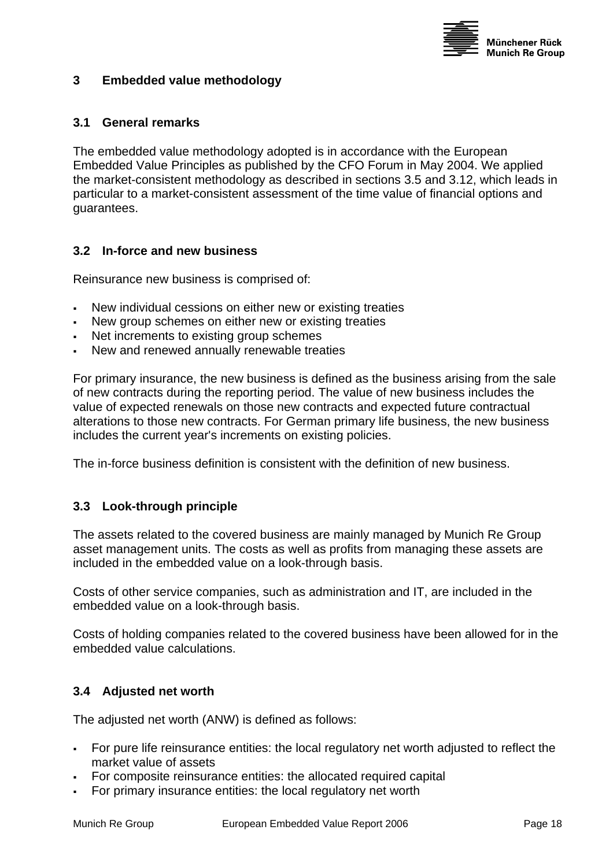

#### <span id="page-17-1"></span><span id="page-17-0"></span>**3 Embedded value methodology**

#### **3.1 General remarks**

The embedded value methodology adopted is in accordance with the European Embedded Value Principles as published by the CFO Forum in May 2004. We applied the market-consistent methodology as described in sections [3.5](#page-18-1) and [3.12,](#page-23-1) which leads in particular to a market-consistent assessment of the time value of financial options and guarantees.

#### **3.2 In-force and new business**

Reinsurance new business is comprised of:

- New individual cessions on either new or existing treaties
- New group schemes on either new or existing treaties
- Net increments to existing group schemes
- New and renewed annually renewable treaties

For primary insurance, the new business is defined as the business arising from the sale of new contracts during the reporting period. The value of new business includes the value of expected renewals on those new contracts and expected future contractual alterations to those new contracts. For German primary life business, the new business includes the current year's increments on existing policies.

The in-force business definition is consistent with the definition of new business.

#### **3.3 Look-through principle**

The assets related to the covered business are mainly managed by Munich Re Group asset management units. The costs as well as profits from managing these assets are included in the embedded value on a look-through basis.

Costs of other service companies, such as administration and IT, are included in the embedded value on a look-through basis.

Costs of holding companies related to the covered business have been allowed for in the embedded value calculations.

#### **3.4 Adjusted net worth**

The adjusted net worth (ANW) is defined as follows:

- For pure life reinsurance entities: the local regulatory net worth adjusted to reflect the market value of assets
- For composite reinsurance entities: the allocated required capital
- For primary insurance entities: the local regulatory net worth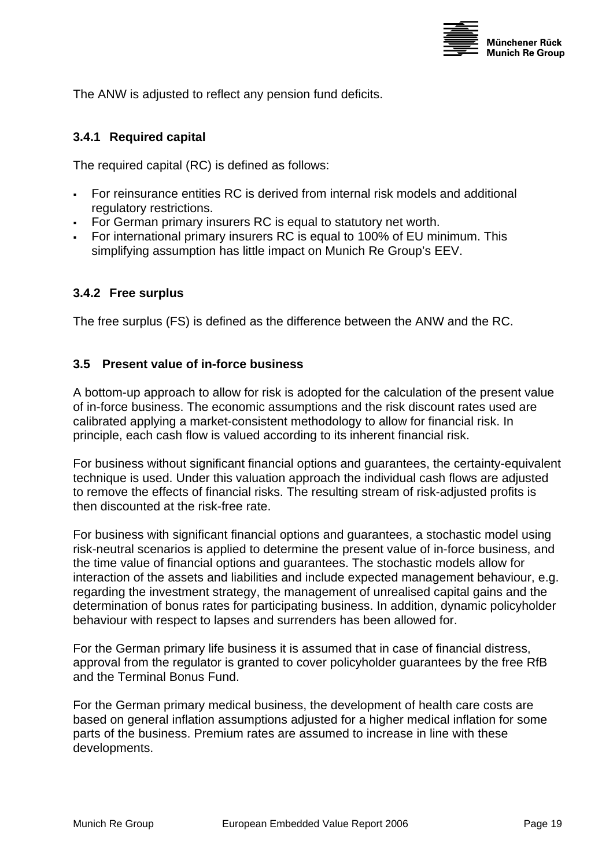

<span id="page-18-0"></span>The ANW is adjusted to reflect any pension fund deficits.

#### **3.4.1 Required capital**

The required capital (RC) is defined as follows:

- For reinsurance entities RC is derived from internal risk models and additional regulatory restrictions.
- For German primary insurers RC is equal to statutory net worth.
- For international primary insurers RC is equal to 100% of EU minimum. This simplifying assumption has little impact on Munich Re Group's EEV.

#### **3.4.2 Free surplus**

The free surplus (FS) is defined as the difference between the ANW and the RC.

#### <span id="page-18-1"></span>**3.5 Present value of in-force business**

A bottom-up approach to allow for risk is adopted for the calculation of the present value of in-force business. The economic assumptions and the risk discount rates used are calibrated applying a market-consistent methodology to allow for financial risk. In principle, each cash flow is valued according to its inherent financial risk.

For business without significant financial options and guarantees, the certainty-equivalent technique is used. Under this valuation approach the individual cash flows are adjusted to remove the effects of financial risks. The resulting stream of risk-adjusted profits is then discounted at the risk-free rate.

For business with significant financial options and guarantees, a stochastic model using risk-neutral scenarios is applied to determine the present value of in-force business, and the time value of financial options and guarantees. The stochastic models allow for interaction of the assets and liabilities and include expected management behaviour, e.g. regarding the investment strategy, the management of unrealised capital gains and the determination of bonus rates for participating business. In addition, dynamic policyholder behaviour with respect to lapses and surrenders has been allowed for.

For the German primary life business it is assumed that in case of financial distress, approval from the regulator is granted to cover policyholder guarantees by the free RfB and the Terminal Bonus Fund.

For the German primary medical business, the development of health care costs are based on general inflation assumptions adjusted for a higher medical inflation for some parts of the business. Premium rates are assumed to increase in line with these developments.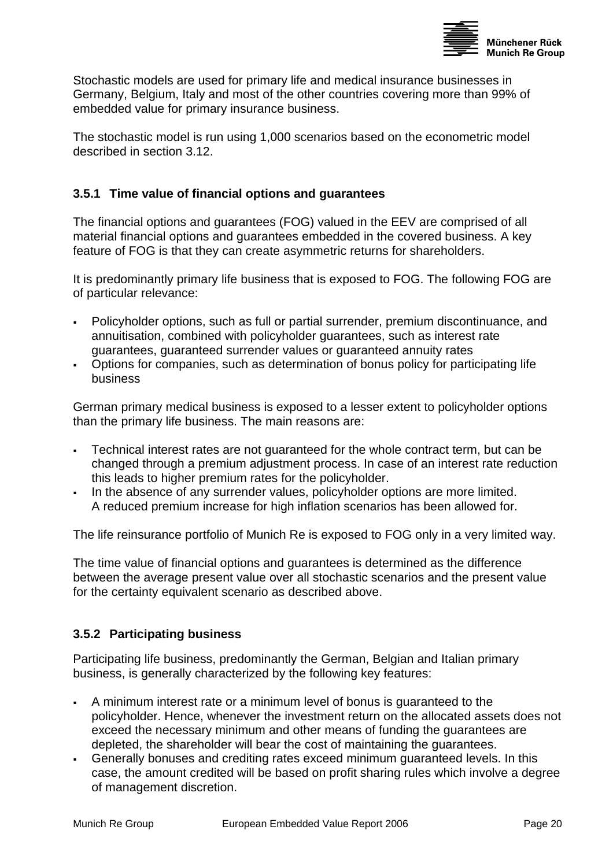

<span id="page-19-0"></span>Stochastic models are used for primary life and medical insurance businesses in Germany, Belgium, Italy and most of the other countries covering more than 99% of embedded value for primary insurance business.

The stochastic model is run using 1,000 scenarios based on the econometric model described in section [3.12.](#page-23-1)

## **3.5.1 Time value of financial options and guarantees**

The financial options and guarantees (FOG) valued in the EEV are comprised of all material financial options and guarantees embedded in the covered business. A key feature of FOG is that they can create asymmetric returns for shareholders.

It is predominantly primary life business that is exposed to FOG. The following FOG are of particular relevance:

- Policyholder options, such as full or partial surrender, premium discontinuance, and annuitisation, combined with policyholder guarantees, such as interest rate guarantees, guaranteed surrender values or guaranteed annuity rates
- Options for companies, such as determination of bonus policy for participating life business

German primary medical business is exposed to a lesser extent to policyholder options than the primary life business. The main reasons are:

- Technical interest rates are not guaranteed for the whole contract term, but can be changed through a premium adjustment process. In case of an interest rate reduction this leads to higher premium rates for the policyholder.
- In the absence of any surrender values, policyholder options are more limited. A reduced premium increase for high inflation scenarios has been allowed for.

The life reinsurance portfolio of Munich Re is exposed to FOG only in a very limited way.

The time value of financial options and guarantees is determined as the difference between the average present value over all stochastic scenarios and the present value for the certainty equivalent scenario as described above.

# **3.5.2 Participating business**

Participating life business, predominantly the German, Belgian and Italian primary business, is generally characterized by the following key features:

- A minimum interest rate or a minimum level of bonus is guaranteed to the policyholder. Hence, whenever the investment return on the allocated assets does not exceed the necessary minimum and other means of funding the guarantees are depleted, the shareholder will bear the cost of maintaining the guarantees.
- Generally bonuses and crediting rates exceed minimum guaranteed levels. In this case, the amount credited will be based on profit sharing rules which involve a degree of management discretion.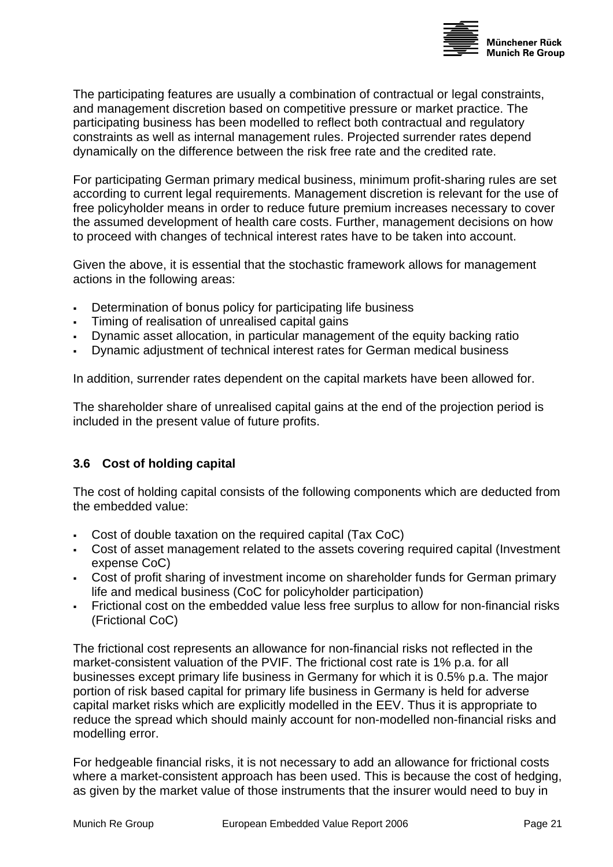

<span id="page-20-0"></span>The participating features are usually a combination of contractual or legal constraints, and management discretion based on competitive pressure or market practice. The participating business has been modelled to reflect both contractual and regulatory constraints as well as internal management rules. Projected surrender rates depend dynamically on the difference between the risk free rate and the credited rate.

For participating German primary medical business, minimum profit-sharing rules are set according to current legal requirements. Management discretion is relevant for the use of free policyholder means in order to reduce future premium increases necessary to cover the assumed development of health care costs. Further, management decisions on how to proceed with changes of technical interest rates have to be taken into account.

Given the above, it is essential that the stochastic framework allows for management actions in the following areas:

- Determination of bonus policy for participating life business
- Timing of realisation of unrealised capital gains
- Dynamic asset allocation, in particular management of the equity backing ratio
- Dynamic adjustment of technical interest rates for German medical business

In addition, surrender rates dependent on the capital markets have been allowed for.

The shareholder share of unrealised capital gains at the end of the projection period is included in the present value of future profits.

#### **3.6 Cost of holding capital**

The cost of holding capital consists of the following components which are deducted from the embedded value:

- Cost of double taxation on the required capital (Tax CoC)
- Cost of asset management related to the assets covering required capital (Investment expense CoC)
- Cost of profit sharing of investment income on shareholder funds for German primary life and medical business (CoC for policyholder participation)
- Frictional cost on the embedded value less free surplus to allow for non-financial risks (Frictional CoC)

The frictional cost represents an allowance for non-financial risks not reflected in the market-consistent valuation of the PVIF. The frictional cost rate is 1% p.a. for all businesses except primary life business in Germany for which it is 0.5% p.a. The major portion of risk based capital for primary life business in Germany is held for adverse capital market risks which are explicitly modelled in the EEV. Thus it is appropriate to reduce the spread which should mainly account for non-modelled non-financial risks and modelling error.

For hedgeable financial risks, it is not necessary to add an allowance for frictional costs where a market-consistent approach has been used. This is because the cost of hedging, as given by the market value of those instruments that the insurer would need to buy in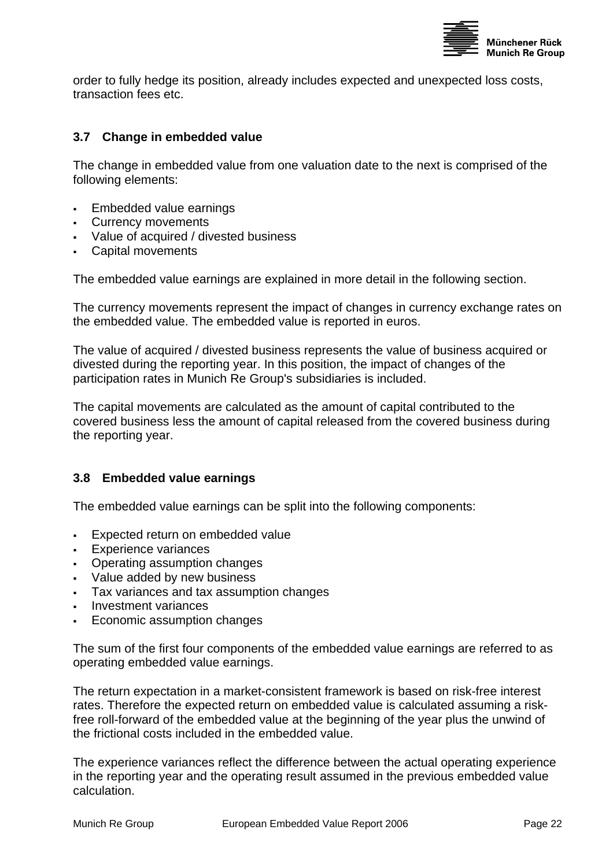

<span id="page-21-0"></span>order to fully hedge its position, already includes expected and unexpected loss costs, transaction fees etc.

#### **3.7 Change in embedded value**

The change in embedded value from one valuation date to the next is comprised of the following elements:

- **Embedded value earnings**
- Currency movements
- Value of acquired / divested business
- Capital movements

The embedded value earnings are explained in more detail in the following section.

The currency movements represent the impact of changes in currency exchange rates on the embedded value. The embedded value is reported in euros.

The value of acquired / divested business represents the value of business acquired or divested during the reporting year. In this position, the impact of changes of the participation rates in Munich Re Group's subsidiaries is included.

The capital movements are calculated as the amount of capital contributed to the covered business less the amount of capital released from the covered business during the reporting year.

#### **3.8 Embedded value earnings**

The embedded value earnings can be split into the following components:

- Expected return on embedded value
- **Experience variances**
- Operating assumption changes
- Value added by new business
- Tax variances and tax assumption changes
- Investment variances
- Economic assumption changes

The sum of the first four components of the embedded value earnings are referred to as operating embedded value earnings.

The return expectation in a market-consistent framework is based on risk-free interest rates. Therefore the expected return on embedded value is calculated assuming a riskfree roll-forward of the embedded value at the beginning of the year plus the unwind of the frictional costs included in the embedded value.

The experience variances reflect the difference between the actual operating experience in the reporting year and the operating result assumed in the previous embedded value calculation.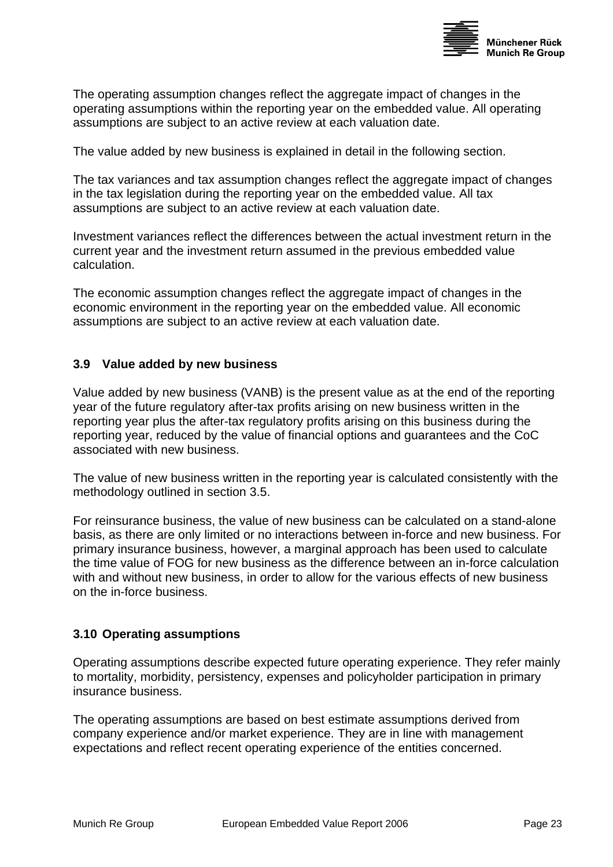

<span id="page-22-0"></span>The operating assumption changes reflect the aggregate impact of changes in the operating assumptions within the reporting year on the embedded value. All operating assumptions are subject to an active review at each valuation date.

The value added by new business is explained in detail in the following section.

The tax variances and tax assumption changes reflect the aggregate impact of changes in the tax legislation during the reporting year on the embedded value. All tax assumptions are subject to an active review at each valuation date.

Investment variances reflect the differences between the actual investment return in the current year and the investment return assumed in the previous embedded value calculation.

The economic assumption changes reflect the aggregate impact of changes in the economic environment in the reporting year on the embedded value. All economic assumptions are subject to an active review at each valuation date.

#### **3.9 Value added by new business**

Value added by new business (VANB) is the present value as at the end of the reporting year of the future regulatory after-tax profits arising on new business written in the reporting year plus the after-tax regulatory profits arising on this business during the reporting year, reduced by the value of financial options and guarantees and the CoC associated with new business.

The value of new business written in the reporting year is calculated consistently with the methodology outlined in section [3.5.](#page-18-1)

For reinsurance business, the value of new business can be calculated on a stand-alone basis, as there are only limited or no interactions between in-force and new business. For primary insurance business, however, a marginal approach has been used to calculate the time value of FOG for new business as the difference between an in-force calculation with and without new business, in order to allow for the various effects of new business on the in-force business.

#### **3.10 Operating assumptions**

Operating assumptions describe expected future operating experience. They refer mainly to mortality, morbidity, persistency, expenses and policyholder participation in primary insurance business.

The operating assumptions are based on best estimate assumptions derived from company experience and/or market experience. They are in line with management expectations and reflect recent operating experience of the entities concerned.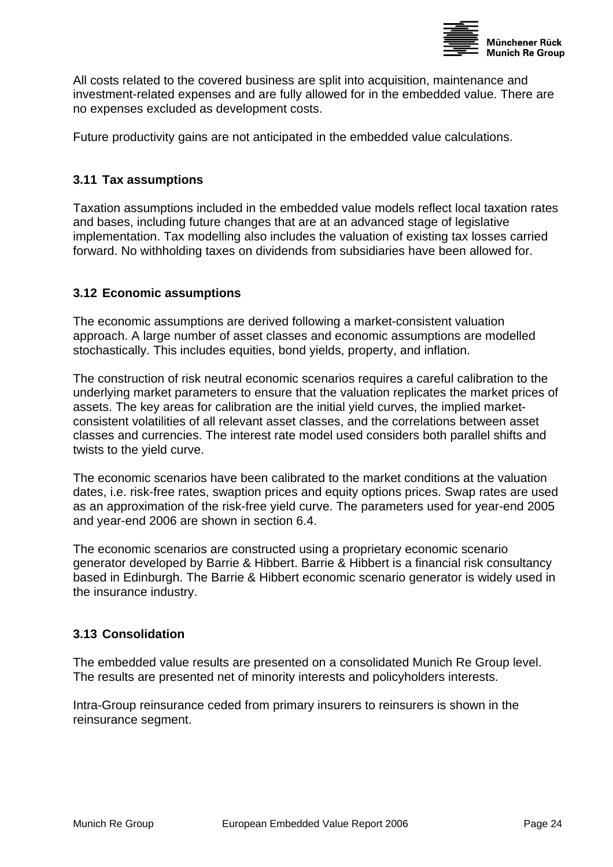

<span id="page-23-0"></span>All costs related to the covered business are split into acquisition, maintenance and investment-related expenses and are fully allowed for in the embedded value. There are no expenses excluded as development costs.

Future productivity gains are not anticipated in the embedded value calculations.

#### **3.11 Tax assumptions**

Taxation assumptions included in the embedded value models reflect local taxation rates and bases, including future changes that are at an advanced stage of legislative implementation. Tax modelling also includes the valuation of existing tax losses carried forward. No withholding taxes on dividends from subsidiaries have been allowed for.

#### <span id="page-23-1"></span>**3.12 Economic assumptions**

The economic assumptions are derived following a market-consistent valuation approach. A large number of asset classes and economic assumptions are modelled stochastically. This includes equities, bond yields, property, and inflation.

The construction of risk neutral economic scenarios requires a careful calibration to the underlying market parameters to ensure that the valuation replicates the market prices of assets. The key areas for calibration are the initial yield curves, the implied marketconsistent volatilities of all relevant asset classes, and the correlations between asset classes and currencies. The interest rate model used considers both parallel shifts and twists to the yield curve.

The economic scenarios have been calibrated to the market conditions at the valuation dates, i.e. risk-free rates, swaption prices and equity options prices. Swap rates are used as an approximation of the risk-free yield curve. The parameters used for year-end 2005 and year-end 2006 are shown in section [6.4.](#page-28-1)

The economic scenarios are constructed using a proprietary economic scenario generator developed by Barrie & Hibbert. Barrie & Hibbert is a financial risk consultancy based in Edinburgh. The Barrie & Hibbert economic scenario generator is widely used in the insurance industry.

#### **3.13 Consolidation**

The embedded value results are presented on a consolidated Munich Re Group level. The results are presented net of minority interests and policyholders interests.

Intra-Group reinsurance ceded from primary insurers to reinsurers is shown in the reinsurance segment.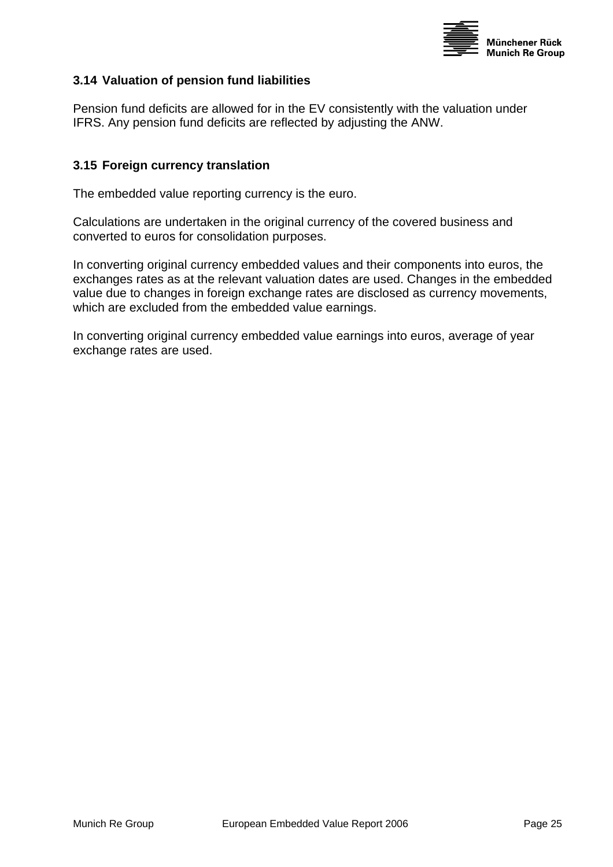

#### <span id="page-24-0"></span>**3.14 Valuation of pension fund liabilities**

Pension fund deficits are allowed for in the EV consistently with the valuation under IFRS. Any pension fund deficits are reflected by adjusting the ANW.

#### **3.15 Foreign currency translation**

The embedded value reporting currency is the euro.

Calculations are undertaken in the original currency of the covered business and converted to euros for consolidation purposes.

In converting original currency embedded values and their components into euros, the exchanges rates as at the relevant valuation dates are used. Changes in the embedded value due to changes in foreign exchange rates are disclosed as currency movements, which are excluded from the embedded value earnings.

In converting original currency embedded value earnings into euros, average of year exchange rates are used.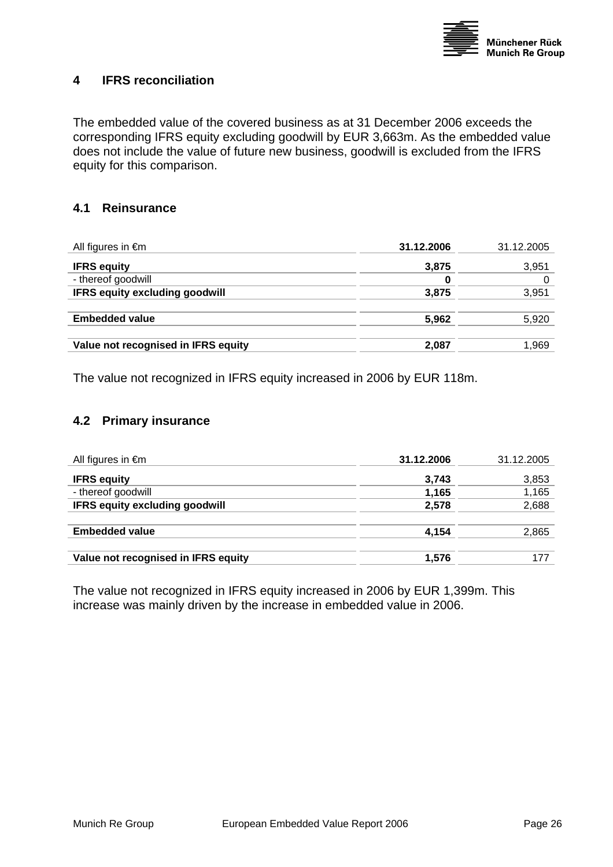

#### <span id="page-25-0"></span>**4 IFRS reconciliation**

The embedded value of the covered business as at 31 December 2006 exceeds the corresponding IFRS equity excluding goodwill by EUR 3,663m. As the embedded value does not include the value of future new business, goodwill is excluded from the IFRS equity for this comparison.

#### **4.1 Reinsurance**

| All figures in $\epsilon$ m           | 31.12.2006 | 31.12.2005 |
|---------------------------------------|------------|------------|
| <b>IFRS equity</b>                    | 3,875      | 3,951      |
| - thereof goodwill                    | 0          |            |
| <b>IFRS equity excluding goodwill</b> | 3,875      | 3,951      |
|                                       |            |            |
| <b>Embedded value</b>                 | 5,962      | 5,920      |
|                                       |            |            |
| Value not recognised in IFRS equity   | 2,087      | 1,969      |
|                                       |            |            |

The value not recognized in IFRS equity increased in 2006 by EUR 118m.

#### **4.2 Primary insurance**

| All figures in $\epsilon$ m           | 31.12.2006 | 31.12.2005 |
|---------------------------------------|------------|------------|
| <b>IFRS equity</b>                    | 3,743      | 3,853      |
| - thereof goodwill                    | 1,165      | 1,165      |
| <b>IFRS equity excluding goodwill</b> | 2,578      | 2,688      |
|                                       |            |            |
| <b>Embedded value</b>                 | 4,154      | 2,865      |
|                                       |            |            |
| Value not recognised in IFRS equity   | 1,576      |            |
|                                       |            |            |

The value not recognized in IFRS equity increased in 2006 by EUR 1,399m. This increase was mainly driven by the increase in embedded value in 2006.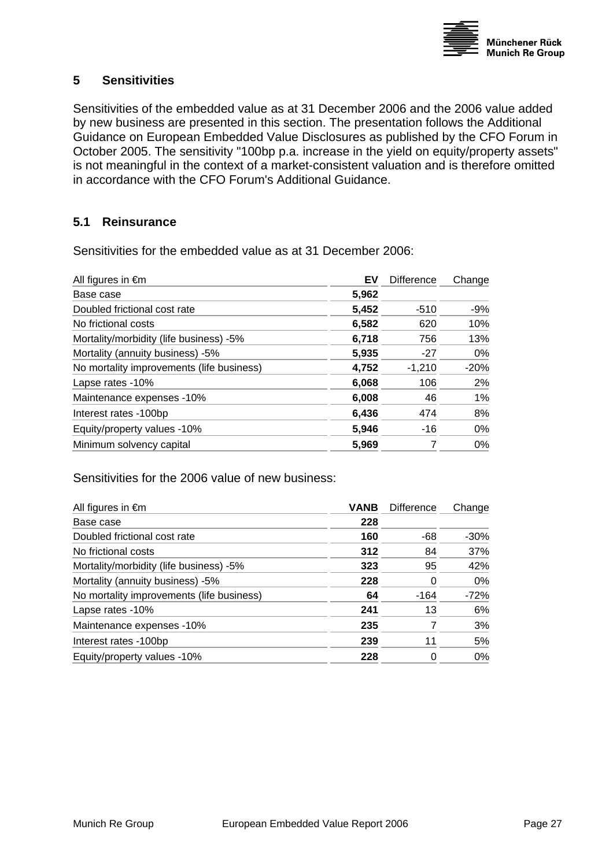

# <span id="page-26-1"></span><span id="page-26-0"></span>**5 Sensitivities**

Sensitivities of the embedded value as at 31 December 2006 and the 2006 value added by new business are presented in this section. The presentation follows the Additional Guidance on European Embedded Value Disclosures as published by the CFO Forum in October 2005. The sensitivity "100bp p.a. increase in the yield on equity/property assets" is not meaningful in the context of a market-consistent valuation and is therefore omitted in accordance with the CFO Forum's Additional Guidance.

#### **5.1 Reinsurance**

Sensitivities for the embedded value as at 31 December 2006:

| All figures in $\epsilon$ m               | EV    | <b>Difference</b> | Change |
|-------------------------------------------|-------|-------------------|--------|
| Base case                                 | 5,962 |                   |        |
| Doubled frictional cost rate              | 5,452 | $-510$            | -9%    |
| No frictional costs                       | 6,582 | 620               | 10%    |
| Mortality/morbidity (life business) -5%   | 6,718 | 756               | 13%    |
| Mortality (annuity business) -5%          | 5.935 | $-27$             | 0%     |
| No mortality improvements (life business) | 4,752 | $-1,210$          | $-20%$ |
| Lapse rates -10%                          | 6,068 | 106               | 2%     |
| Maintenance expenses -10%                 | 6,008 | 46                | $1\%$  |
| Interest rates -100bp                     | 6,436 | 474               | 8%     |
| Equity/property values -10%               | 5,946 | -16               | 0%     |
| Minimum solvency capital                  | 5,969 |                   | $0\%$  |

Sensitivities for the 2006 value of new business:

| <b>VANB</b> | <b>Difference</b> | Change |
|-------------|-------------------|--------|
| 228         |                   |        |
| 160         | -68               | $-30%$ |
| 312         | 84                | 37%    |
| 323         | 95                | 42%    |
| 228         | 0                 | $0\%$  |
| 64          | $-164$            | $-72%$ |
| 241         | 13                | 6%     |
| 235         |                   | 3%     |
| 239         | 11                | 5%     |
| 228         | 0                 | $0\%$  |
|             |                   |        |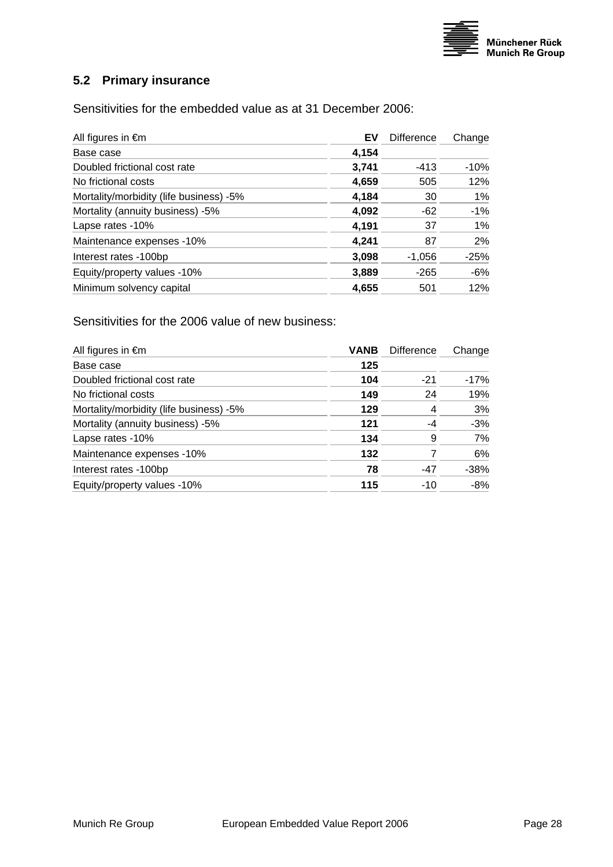

# <span id="page-27-0"></span>**5.2 Primary insurance**

Sensitivities for the embedded value as at 31 December 2006:

| All figures in $\epsilon$ m             | EV    | Difference | Change |
|-----------------------------------------|-------|------------|--------|
| Base case                               | 4,154 |            |        |
| Doubled frictional cost rate            | 3,741 | $-413$     | $-10%$ |
| No frictional costs                     | 4,659 | 505        | 12%    |
| Mortality/morbidity (life business) -5% | 4,184 | 30         | $1\%$  |
| Mortality (annuity business) -5%        | 4,092 | -62        | $-1%$  |
| Lapse rates -10%                        | 4,191 | 37         | $1\%$  |
| Maintenance expenses -10%               | 4,241 | 87         | 2%     |
| Interest rates -100bp                   | 3,098 | $-1,056$   | $-25%$ |
| Equity/property values -10%             | 3,889 | $-265$     | $-6%$  |
| Minimum solvency capital                | 4,655 | 501        | 12%    |

Sensitivities for the 2006 value of new business:

| All figures in $\epsilon$ m             | <b>VANB</b> | <b>Difference</b> | Change |
|-----------------------------------------|-------------|-------------------|--------|
| Base case                               | 125         |                   |        |
| Doubled frictional cost rate            | 104         | $-21$             | $-17%$ |
| No frictional costs                     | 149         | 24                | 19%    |
| Mortality/morbidity (life business) -5% | 129         | 4                 | 3%     |
| Mortality (annuity business) -5%        | 121         | -4                | $-3%$  |
| Lapse rates -10%                        | 134         | 9                 | 7%     |
| Maintenance expenses -10%               | 132         | 7                 | 6%     |
| Interest rates -100bp                   | 78          | $-47$             | $-38%$ |
| Equity/property values -10%             | 115         | $-10$             | $-8%$  |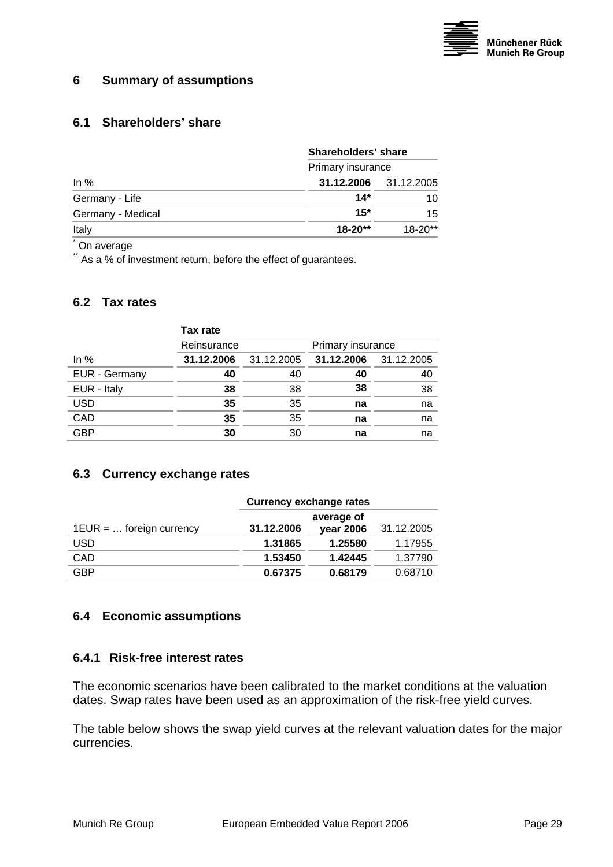

#### <span id="page-28-2"></span><span id="page-28-0"></span>**6 Summary of assumptions**

#### **6.1 Shareholders' share**

|                   | Shareholders' share          |             |  |  |
|-------------------|------------------------------|-------------|--|--|
|                   | Primary insurance            |             |  |  |
| In $%$            | <b>31.12.2006</b> 31.12.2005 |             |  |  |
| Germany - Life    | $14*$                        | 10          |  |  |
| Germany - Medical | $15*$                        | 15          |  |  |
| Italy             | $18 - 20**$                  | $18 - 20**$ |  |  |

\* On average

\*\* As a % of investment return, before the effect of guarantees.

#### **6.2 Tax rates**

|               | Tax rate    |            |                       |    |  |
|---------------|-------------|------------|-----------------------|----|--|
|               | Reinsurance |            | Primary insurance     |    |  |
| In $%$        | 31.12.2006  | 31.12.2005 | 31.12.2006 31.12.2005 |    |  |
| EUR - Germany | 40          | 40         | 40                    | 40 |  |
| EUR - Italy   | 38          | 38         | 38                    | 38 |  |
| <b>USD</b>    | 35          | 35         | na                    | na |  |
| CAD           | 35          | 35         | na                    | na |  |
| <b>GBP</b>    | 30          | 30         | na                    | na |  |
|               |             |            |                       |    |  |

#### **6.3 Currency exchange rates**

|                            | <b>Currency exchange rates</b> |           |            |  |  |
|----------------------------|--------------------------------|-----------|------------|--|--|
|                            | average of                     |           |            |  |  |
| $1EUR = $ foreign currency | 31.12.2006                     | year 2006 | 31.12.2005 |  |  |
| <b>USD</b>                 | 1.31865                        | 1.25580   | 1.17955    |  |  |
| <b>CAD</b>                 | 1.53450                        | 1.42445   | 1.37790    |  |  |
| <b>GBP</b>                 | 0.67375                        | 0.68179   | 0.68710    |  |  |

#### <span id="page-28-1"></span>**6.4 Economic assumptions**

#### **6.4.1 Risk-free interest rates**

The economic scenarios have been calibrated to the market conditions at the valuation dates. Swap rates have been used as an approximation of the risk-free yield curves.

The table below shows the swap yield curves at the relevant valuation dates for the major currencies.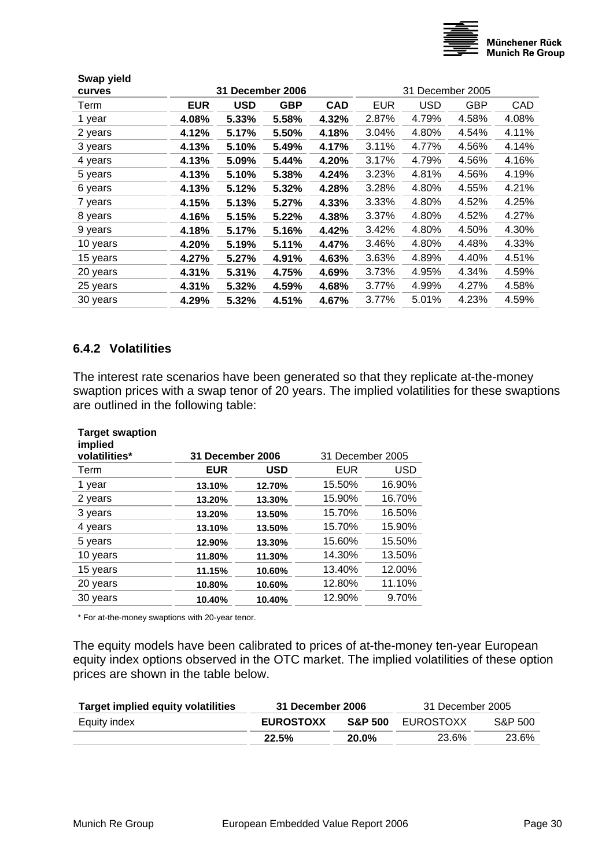

<span id="page-29-0"></span>

| Swap yield<br>curves |            | 31 December 2006 |            |            |            | 31 December 2005 |            |       |
|----------------------|------------|------------------|------------|------------|------------|------------------|------------|-------|
| Term                 | <b>EUR</b> | <b>USD</b>       | <b>GBP</b> | <b>CAD</b> | <b>EUR</b> | <b>USD</b>       | <b>GBP</b> | CAD   |
| 1 year               | 4.08%      | 5.33%            | 5.58%      | 4.32%      | 2.87%      | 4.79%            | 4.58%      | 4.08% |
| 2 years              | 4.12%      | 5.17%            | 5.50%      | 4.18%      | 3.04%      | 4.80%            | 4.54%      | 4.11% |
| 3 years              | 4.13%      | 5.10%            | 5.49%      | 4.17%      | 3.11%      | 4.77%            | 4.56%      | 4.14% |
| 4 years              | 4.13%      | 5.09%            | 5.44%      | 4.20%      | 3.17%      | 4.79%            | 4.56%      | 4.16% |
| 5 years              | 4.13%      | 5.10%            | 5.38%      | 4.24%      | 3.23%      | 4.81%            | 4.56%      | 4.19% |
| 6 years              | 4.13%      | 5.12%            | 5.32%      | 4.28%      | 3.28%      | 4.80%            | 4.55%      | 4.21% |
| 7 years              | 4.15%      | 5.13%            | 5.27%      | 4.33%      | 3.33%      | 4.80%            | 4.52%      | 4.25% |
| 8 years              | 4.16%      | 5.15%            | 5.22%      | 4.38%      | 3.37%      | 4.80%            | 4.52%      | 4.27% |
| 9 years              | 4.18%      | 5.17%            | 5.16%      | 4.42%      | 3.42%      | 4.80%            | 4.50%      | 4.30% |
| 10 years             | 4.20%      | 5.19%            | 5.11%      | 4.47%      | 3.46%      | 4.80%            | 4.48%      | 4.33% |
| 15 years             | 4.27%      | 5.27%            | 4.91%      | 4.63%      | 3.63%      | 4.89%            | 4.40%      | 4.51% |
| 20 years             | 4.31%      | 5.31%            | 4.75%      | 4.69%      | 3.73%      | 4.95%            | 4.34%      | 4.59% |
| 25 years             | 4.31%      | 5.32%            | 4.59%      | 4.68%      | 3.77%      | 4.99%            | 4.27%      | 4.58% |
| 30 years             | 4.29%      | 5.32%            | 4.51%      | 4.67%      | 3.77%      | 5.01%            | 4.23%      | 4.59% |
|                      |            |                  |            |            |            |                  |            |       |

#### **6.4.2 Volatilities**

The interest rate scenarios have been generated so that they replicate at-the-money swaption prices with a swap tenor of 20 years. The implied volatilities for these swaptions are outlined in the following table:

| <b>Target swaption</b><br>implied<br>volatilities* | <b>31 December 2006</b> |            | 31 December 2005 |        |
|----------------------------------------------------|-------------------------|------------|------------------|--------|
| Term                                               | <b>EUR</b>              | <b>USD</b> | EUR              | USD    |
| 1 year                                             | 13.10%                  | 12.70%     | 15.50%           | 16.90% |
| 2 years                                            | 13.20%                  | 13.30%     | 15.90%           | 16.70% |
| 3 years                                            | 13.20%                  | 13.50%     | 15.70%           | 16.50% |
| 4 years                                            | 13.10%                  | 13.50%     | 15.70%           | 15.90% |
| 5 years                                            | 12.90%                  | 13.30%     | 15.60%           | 15.50% |
| 10 years                                           | 11.80%                  | 11.30%     | 14.30%           | 13.50% |
| 15 years                                           | 11.15%                  | 10.60%     | 13.40%           | 12.00% |
| 20 years                                           | 10.80%                  | 10.60%     | 12.80%           | 11.10% |
| 30 years                                           | 10.40%                  | 10.40%     | 12.90%           | 9.70%  |
|                                                    |                         |            |                  |        |

\* For at-the-money swaptions with 20-year tenor.

The equity models have been calibrated to prices of at-the-money ten-year European equity index options observed in the OTC market. The implied volatilities of these option prices are shown in the table below.

| <b>Target implied equity volatilities</b> | 31 December 2006 |                    | 31 December 2005 |         |
|-------------------------------------------|------------------|--------------------|------------------|---------|
| Equity index                              | <b>EUROSTOXX</b> | <b>S&amp;P 500</b> | EUROSTOXX        | S&P 500 |
|                                           | 22.5%            | $20.0\%$           | 23.6%            | 23.6%   |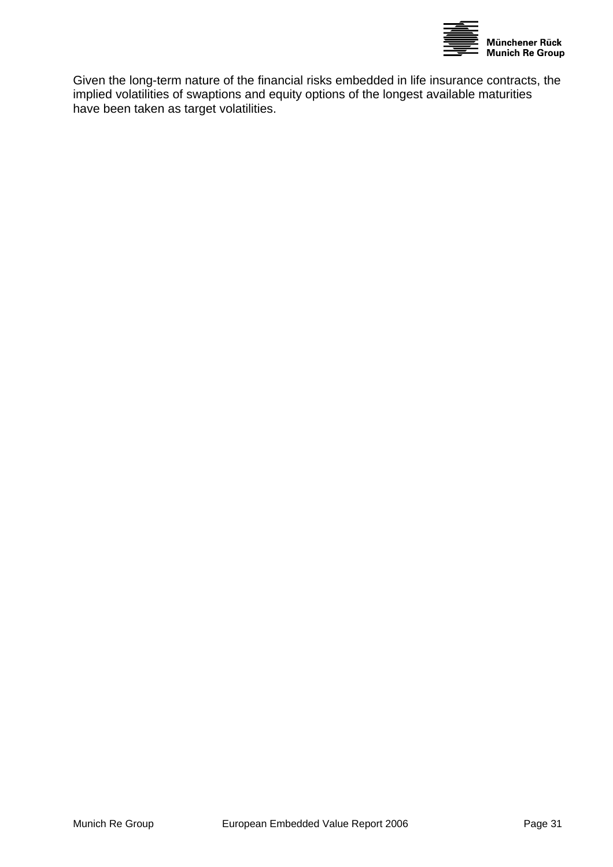

Given the long-term nature of the financial risks embedded in life insurance contracts, the implied volatilities of swaptions and equity options of the longest available maturities have been taken as target volatilities.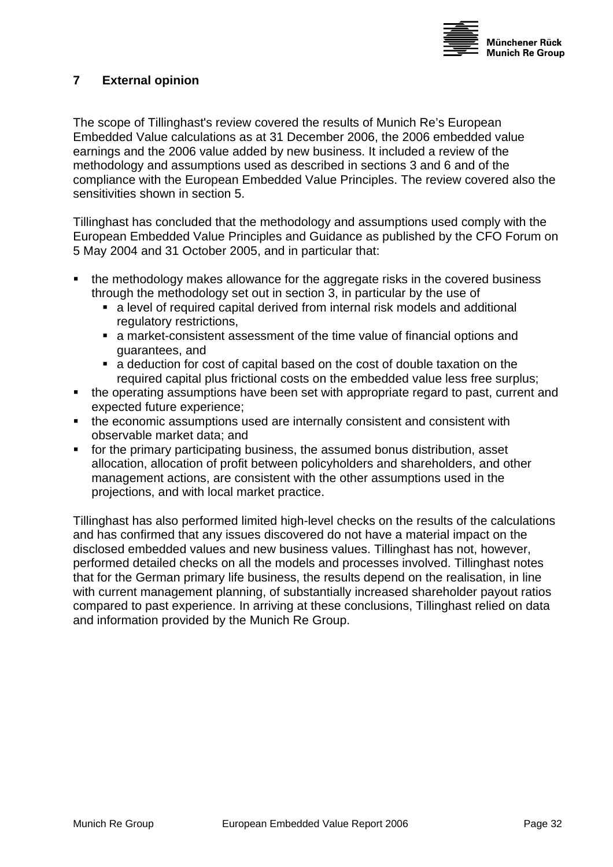

# <span id="page-31-0"></span>**7 External opinion**

The scope of Tillinghast's review covered the results of Munich Re's European Embedded Value calculations as at 31 December 2006, the 2006 embedded value earnings and the 2006 value added by new business. It included a review of the methodology and assumptions used as described in sections [3](#page-17-1) and [6](#page-28-2) and of the compliance with the European Embedded Value Principles. The review covered also the sensitivities shown in section [5.](#page-26-1)

Tillinghast has concluded that the methodology and assumptions used comply with the European Embedded Value Principles and Guidance as published by the CFO Forum on 5 May 2004 and 31 October 2005, and in particular that:

- the methodology makes allowance for the aggregate risks in the covered business through the methodology set out in section [3,](#page-17-1) in particular by the use of
	- a level of required capital derived from internal risk models and additional regulatory restrictions,
	- a market-consistent assessment of the time value of financial options and guarantees, and
	- a deduction for cost of capital based on the cost of double taxation on the required capital plus frictional costs on the embedded value less free surplus;
- the operating assumptions have been set with appropriate regard to past, current and expected future experience;
- the economic assumptions used are internally consistent and consistent with observable market data; and
- for the primary participating business, the assumed bonus distribution, asset allocation, allocation of profit between policyholders and shareholders, and other management actions, are consistent with the other assumptions used in the projections, and with local market practice.

Tillinghast has also performed limited high-level checks on the results of the calculations and has confirmed that any issues discovered do not have a material impact on the disclosed embedded values and new business values. Tillinghast has not, however, performed detailed checks on all the models and processes involved. Tillinghast notes that for the German primary life business, the results depend on the realisation, in line with current management planning, of substantially increased shareholder payout ratios compared to past experience. In arriving at these conclusions, Tillinghast relied on data and information provided by the Munich Re Group.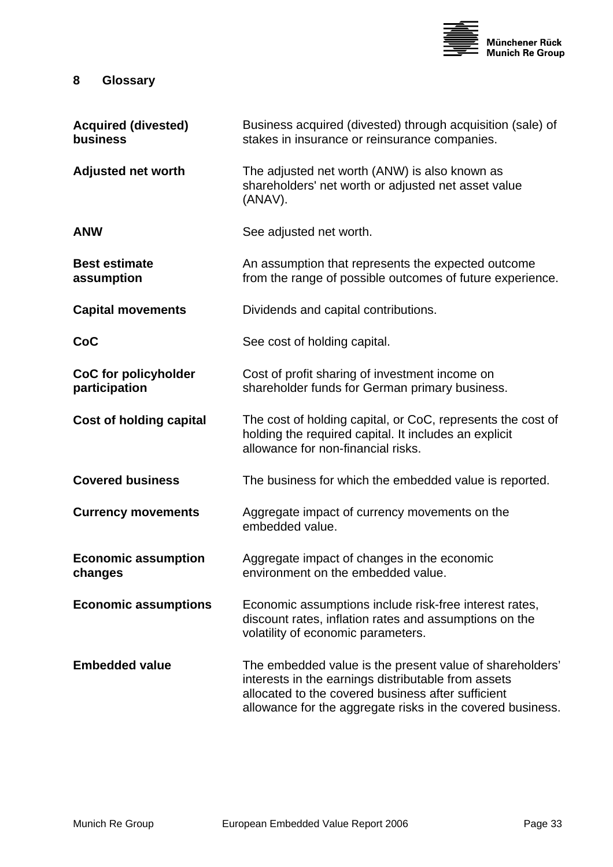

# <span id="page-32-0"></span>**8 Glossary**

| <b>Acquired (divested)</b><br>business       | Business acquired (divested) through acquisition (sale) of<br>stakes in insurance or reinsurance companies.                                                                                                                         |
|----------------------------------------------|-------------------------------------------------------------------------------------------------------------------------------------------------------------------------------------------------------------------------------------|
| <b>Adjusted net worth</b>                    | The adjusted net worth (ANW) is also known as<br>shareholders' net worth or adjusted net asset value<br>(ANAV).                                                                                                                     |
| <b>ANW</b>                                   | See adjusted net worth.                                                                                                                                                                                                             |
| <b>Best estimate</b><br>assumption           | An assumption that represents the expected outcome<br>from the range of possible outcomes of future experience.                                                                                                                     |
| <b>Capital movements</b>                     | Dividends and capital contributions.                                                                                                                                                                                                |
| CoC                                          | See cost of holding capital.                                                                                                                                                                                                        |
| <b>CoC for policyholder</b><br>participation | Cost of profit sharing of investment income on<br>shareholder funds for German primary business.                                                                                                                                    |
| <b>Cost of holding capital</b>               | The cost of holding capital, or CoC, represents the cost of<br>holding the required capital. It includes an explicit<br>allowance for non-financial risks.                                                                          |
| <b>Covered business</b>                      | The business for which the embedded value is reported.                                                                                                                                                                              |
| <b>Currency movements</b>                    | Aggregate impact of currency movements on the<br>embedded value.                                                                                                                                                                    |
| <b>Economic assumption</b><br>changes        | Aggregate impact of changes in the economic<br>environment on the embedded value.                                                                                                                                                   |
| <b>Economic assumptions</b>                  | Economic assumptions include risk-free interest rates,<br>discount rates, inflation rates and assumptions on the<br>volatility of economic parameters.                                                                              |
| <b>Embedded value</b>                        | The embedded value is the present value of shareholders'<br>interests in the earnings distributable from assets<br>allocated to the covered business after sufficient<br>allowance for the aggregate risks in the covered business. |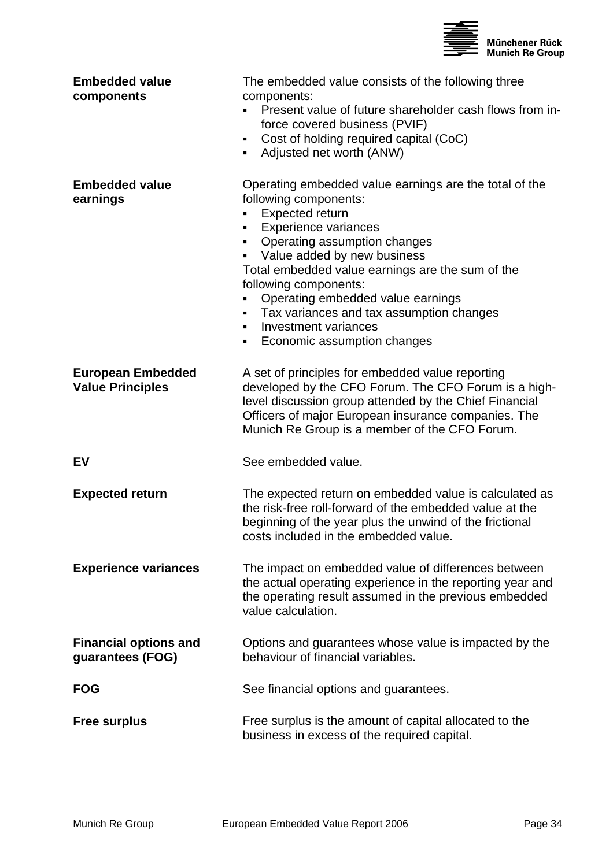

| <b>Embedded value</b><br>components                 | The embedded value consists of the following three<br>components:<br>Present value of future shareholder cash flows from in-<br>force covered business (PVIF)<br>Cost of holding required capital (CoC)<br>٠<br>Adjusted net worth (ANW)<br>٠                                                                                                                                                                                                               |
|-----------------------------------------------------|-------------------------------------------------------------------------------------------------------------------------------------------------------------------------------------------------------------------------------------------------------------------------------------------------------------------------------------------------------------------------------------------------------------------------------------------------------------|
| <b>Embedded value</b><br>earnings                   | Operating embedded value earnings are the total of the<br>following components:<br>Expected return<br><b>Experience variances</b><br>٠<br>Operating assumption changes<br>٠<br>Value added by new business<br>Total embedded value earnings are the sum of the<br>following components:<br>Operating embedded value earnings<br>Tax variances and tax assumption changes<br>٠<br>Investment variances<br>$\blacksquare$<br>Economic assumption changes<br>٠ |
| <b>European Embedded</b><br><b>Value Principles</b> | A set of principles for embedded value reporting<br>developed by the CFO Forum. The CFO Forum is a high-<br>level discussion group attended by the Chief Financial<br>Officers of major European insurance companies. The<br>Munich Re Group is a member of the CFO Forum.                                                                                                                                                                                  |
| EV                                                  | See embedded value.                                                                                                                                                                                                                                                                                                                                                                                                                                         |
| <b>Expected return</b>                              | The expected return on embedded value is calculated as<br>the risk-free roll-forward of the embedded value at the<br>beginning of the year plus the unwind of the frictional<br>costs included in the embedded value.                                                                                                                                                                                                                                       |
| <b>Experience variances</b>                         | The impact on embedded value of differences between<br>the actual operating experience in the reporting year and<br>the operating result assumed in the previous embedded<br>value calculation.                                                                                                                                                                                                                                                             |
| <b>Financial options and</b><br>guarantees (FOG)    | Options and guarantees whose value is impacted by the<br>behaviour of financial variables.                                                                                                                                                                                                                                                                                                                                                                  |
| <b>FOG</b>                                          | See financial options and guarantees.                                                                                                                                                                                                                                                                                                                                                                                                                       |
| <b>Free surplus</b>                                 | Free surplus is the amount of capital allocated to the<br>business in excess of the required capital.                                                                                                                                                                                                                                                                                                                                                       |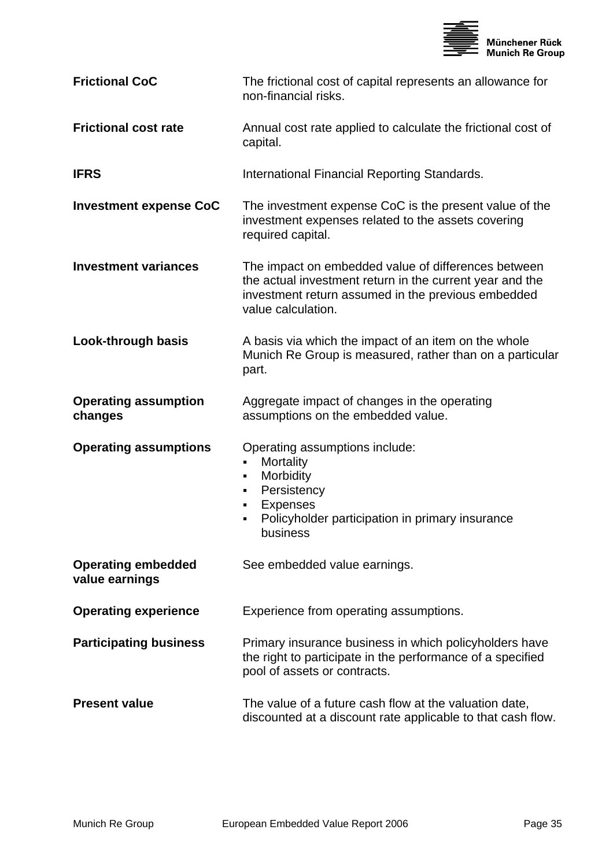

| <b>Frictional CoC</b>                       | The frictional cost of capital represents an allowance for<br>non-financial risks.                                                                                                          |
|---------------------------------------------|---------------------------------------------------------------------------------------------------------------------------------------------------------------------------------------------|
| <b>Frictional cost rate</b>                 | Annual cost rate applied to calculate the frictional cost of<br>capital.                                                                                                                    |
| <b>IFRS</b>                                 | International Financial Reporting Standards.                                                                                                                                                |
| <b>Investment expense CoC</b>               | The investment expense CoC is the present value of the<br>investment expenses related to the assets covering<br>required capital.                                                           |
| <b>Investment variances</b>                 | The impact on embedded value of differences between<br>the actual investment return in the current year and the<br>investment return assumed in the previous embedded<br>value calculation. |
| Look-through basis                          | A basis via which the impact of an item on the whole<br>Munich Re Group is measured, rather than on a particular<br>part.                                                                   |
| <b>Operating assumption</b><br>changes      | Aggregate impact of changes in the operating<br>assumptions on the embedded value.                                                                                                          |
| <b>Operating assumptions</b>                | Operating assumptions include:<br>Mortality<br>$\blacksquare$<br>Morbidity<br>٠<br>Persistency<br>٠<br><b>Expenses</b><br>٠<br>Policyholder participation in primary insurance<br>business  |
| <b>Operating embedded</b><br>value earnings | See embedded value earnings.                                                                                                                                                                |
| <b>Operating experience</b>                 | Experience from operating assumptions.                                                                                                                                                      |
| <b>Participating business</b>               | Primary insurance business in which policyholders have<br>the right to participate in the performance of a specified<br>pool of assets or contracts.                                        |
| <b>Present value</b>                        | The value of a future cash flow at the valuation date,<br>discounted at a discount rate applicable to that cash flow.                                                                       |